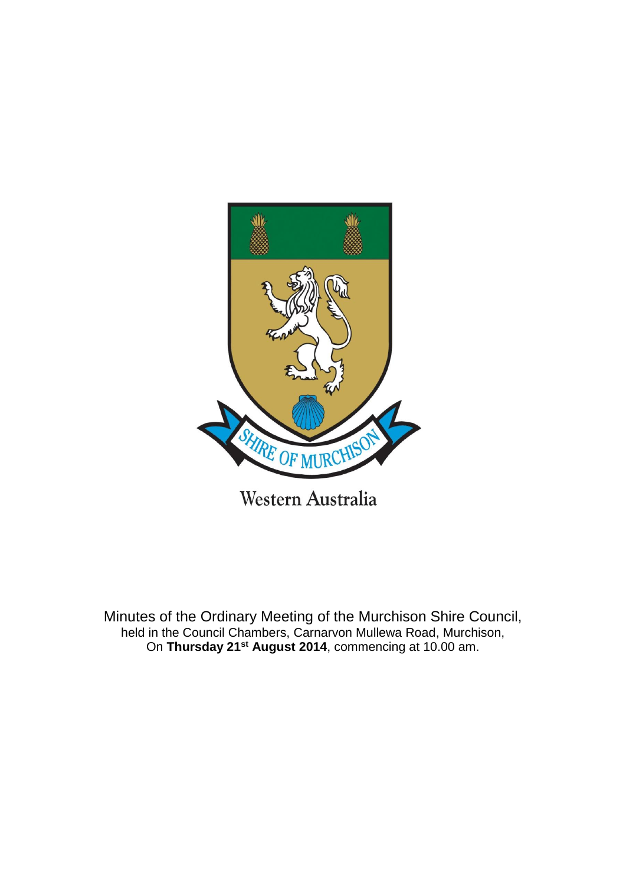

Minutes of the Ordinary Meeting of the Murchison Shire Council, held in the Council Chambers, Carnarvon Mullewa Road, Murchison, On **Thursday 21st August 2014**, commencing at 10.00 am.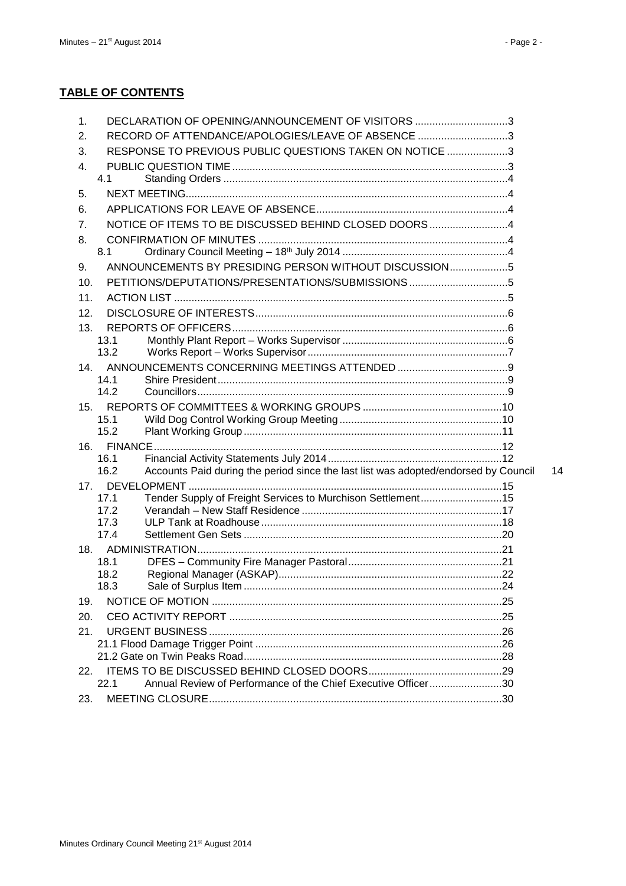| 1.  | DECLARATION OF OPENING/ANNOUNCEMENT OF VISITORS 3                                           |    |
|-----|---------------------------------------------------------------------------------------------|----|
| 2.  | RECORD OF ATTENDANCE/APOLOGIES/LEAVE OF ABSENCE 3                                           |    |
| 3.  | RESPONSE TO PREVIOUS PUBLIC QUESTIONS TAKEN ON NOTICE 3                                     |    |
| 4.  |                                                                                             |    |
|     | 4.1                                                                                         |    |
| 5.  |                                                                                             |    |
| 6.  |                                                                                             |    |
| 7.  | NOTICE OF ITEMS TO BE DISCUSSED BEHIND CLOSED DOORS4                                        |    |
| 8.  |                                                                                             |    |
|     | 8.1                                                                                         |    |
| 9.  | ANNOUNCEMENTS BY PRESIDING PERSON WITHOUT DISCUSSION5                                       |    |
| 10. |                                                                                             |    |
| 11. |                                                                                             |    |
| 12. |                                                                                             |    |
| 13. |                                                                                             |    |
|     | 13.1                                                                                        |    |
|     | 13.2                                                                                        |    |
| 14. |                                                                                             |    |
|     | 14.1<br>14.2                                                                                |    |
| 15. |                                                                                             |    |
|     | 15.1                                                                                        |    |
|     | 15.2                                                                                        |    |
| 16. |                                                                                             |    |
|     | 16.1                                                                                        |    |
|     | 16.2<br>Accounts Paid during the period since the last list was adopted/endorsed by Council | 14 |
| 17. |                                                                                             |    |
|     | Tender Supply of Freight Services to Murchison Settlement15<br>17.1<br>17.2                 |    |
|     | 17.3                                                                                        |    |
|     | 17.4                                                                                        |    |
|     |                                                                                             |    |
|     | 18.1                                                                                        |    |
|     | 18.2                                                                                        |    |
|     | 18.3                                                                                        |    |
| 19. |                                                                                             |    |
| 20. |                                                                                             |    |
| 21. |                                                                                             |    |
|     |                                                                                             |    |
| 22. |                                                                                             |    |
|     | Annual Review of Performance of the Chief Executive Officer30<br>22.1                       |    |
| 23. |                                                                                             |    |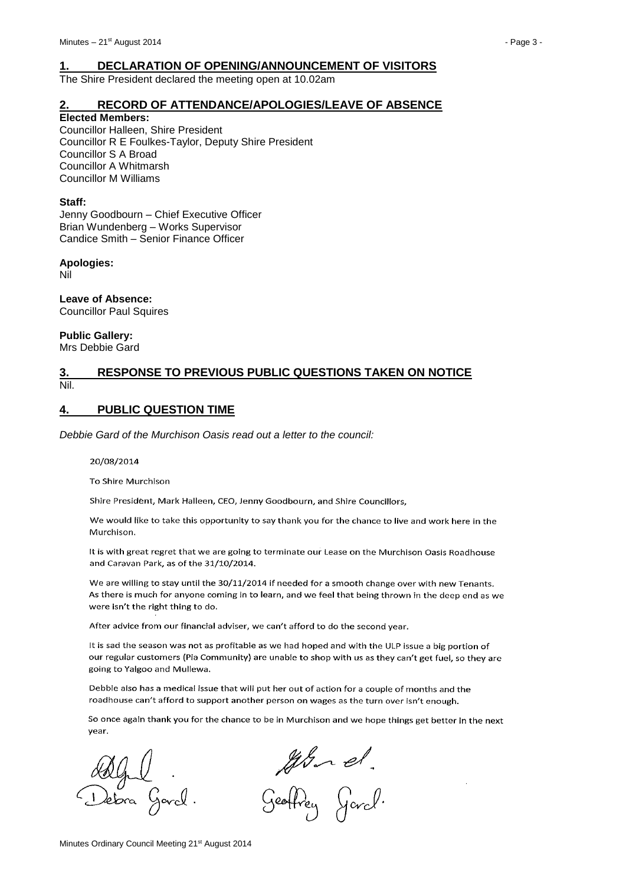# <span id="page-2-0"></span>**1. DECLARATION OF OPENING/ANNOUNCEMENT OF VISITORS**

The Shire President declared the meeting open at 10.02am

# <span id="page-2-1"></span>**2. RECORD OF ATTENDANCE/APOLOGIES/LEAVE OF ABSENCE**

**Elected Members:**

Councillor Halleen, Shire President Councillor R E Foulkes-Taylor, Deputy Shire President Councillor S A Broad Councillor A Whitmarsh Councillor M Williams

#### **Staff:**

Jenny Goodbourn – Chief Executive Officer Brian Wundenberg – Works Supervisor Candice Smith – Senior Finance Officer

#### **Apologies:**

Nil

**Leave of Absence:** Councillor Paul Squires

**Public Gallery:** Mrs Debbie Gard

# <span id="page-2-2"></span>**3. RESPONSE TO PREVIOUS PUBLIC QUESTIONS TAKEN ON NOTICE** Nil.

# <span id="page-2-3"></span>**4. PUBLIC QUESTION TIME**

*Debbie Gard of the Murchison Oasis read out a letter to the council:*

#### 20/08/2014

To Shire Murchison

Shire President, Mark Halleen, CEO, Jenny Goodbourn, and Shire Councillors,

We would like to take this opportunity to say thank you for the chance to live and work here in the Murchison.

It is with great regret that we are going to terminate our Lease on the Murchison Oasis Roadhouse and Caravan Park, as of the 31/10/2014.

We are willing to stay until the 30/11/2014 if needed for a smooth change over with new Tenants. As there is much for anyone coming in to learn, and we feel that being thrown in the deep end as we were isn't the right thing to do.

After advice from our financial adviser, we can't afford to do the second year.

It is sad the season was not as profitable as we had hoped and with the ULP issue a big portion of our regular customers (Pia Community) are unable to shop with us as they can't get fuel, so they are going to Yalgoo and Mullewa.

Debbie also has a medical issue that will put her out of action for a couple of months and the roadhouse can't afford to support another person on wages as the turn over isn't enough.

So once again thank you for the chance to be in Murchison and we hope things get better in the next year.

a Gord.

John et.<br>Geoffrey Gard.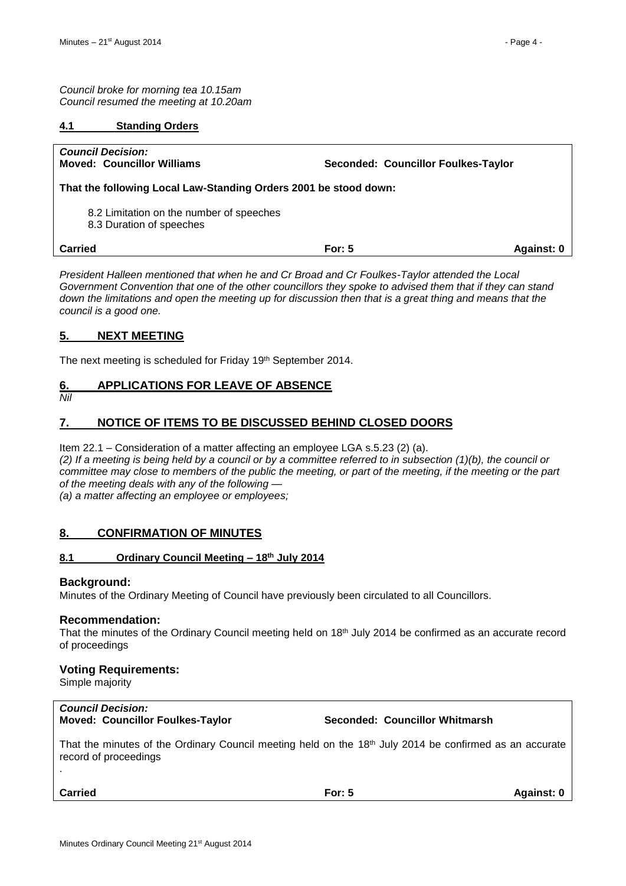*Council broke for morning tea 10.15am Council resumed the meeting at 10.20am* 

# <span id="page-3-0"></span>**4.1 Standing Orders**

| <b>Council Decision:</b><br><b>Moved: Councillor Williams</b>        | Seconded: Councillor Foulkes-Taylor |            |  |  |  |
|----------------------------------------------------------------------|-------------------------------------|------------|--|--|--|
| That the following Local Law-Standing Orders 2001 be stood down:     |                                     |            |  |  |  |
| 8.2 Limitation on the number of speeches<br>8.3 Duration of speeches |                                     |            |  |  |  |
| Carried                                                              | For: $5$                            | Against: 0 |  |  |  |

*President Halleen mentioned that when he and Cr Broad and Cr Foulkes-Taylor attended the Local Government Convention that one of the other councillors they spoke to advised them that if they can stand down the limitations and open the meeting up for discussion then that is a great thing and means that the council is a good one.*

# <span id="page-3-1"></span>**5. NEXT MEETING**

The next meeting is scheduled for Friday 19th September 2014.

# <span id="page-3-2"></span>**6. APPLICATIONS FOR LEAVE OF ABSENCE**

*Nil*

# <span id="page-3-3"></span>**7. NOTICE OF ITEMS TO BE DISCUSSED BEHIND CLOSED DOORS**

Item 22.1 – Consideration of a matter affecting an employee LGA s.5.23 (2) (a). *(2) If a meeting is being held by a council or by a committee referred to in subsection (1)(b), the council or committee may close to members of the public the meeting, or part of the meeting, if the meeting or the part of the meeting deals with any of the following — (a) a matter affecting an employee or employees;*

<span id="page-3-4"></span>**8. CONFIRMATION OF MINUTES**

# <span id="page-3-5"></span>**8.1 Ordinary Council Meeting – 18th July 2014**

# **Background:**

Minutes of the Ordinary Meeting of Council have previously been circulated to all Councillors.

# **Recommendation:**

That the minutes of the Ordinary Council meeting held on 18<sup>th</sup> July 2014 be confirmed as an accurate record of proceedings

# **Voting Requirements:**

Simple majority

# *Council Decision:*

**Moved: Councillor Foulkes-Taylor Seconded: Councillor Whitmarsh**

That the minutes of the Ordinary Council meeting held on the 18<sup>th</sup> July 2014 be confirmed as an accurate record of proceedings

.

**Carried For: 5 Against: 0**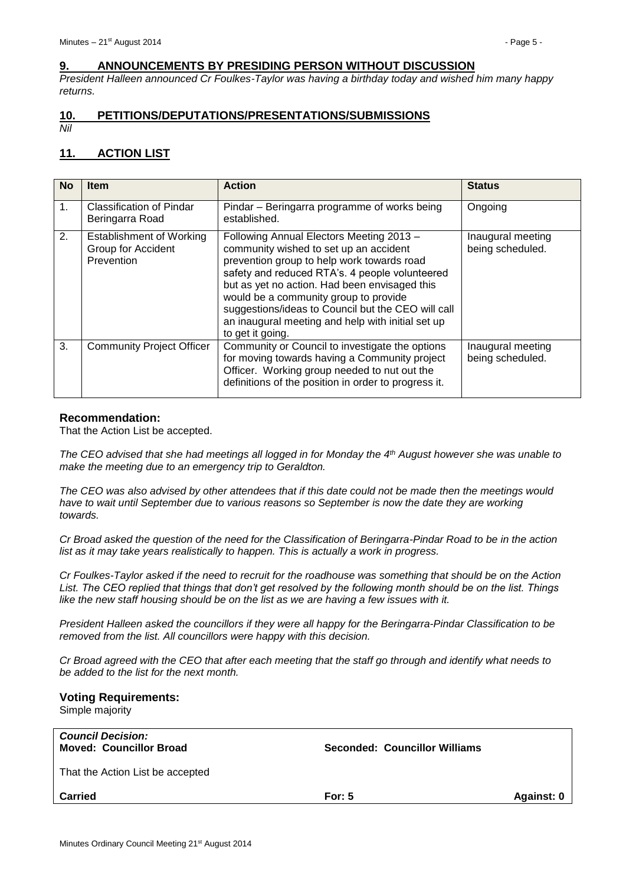# <span id="page-4-0"></span>**9. ANNOUNCEMENTS BY PRESIDING PERSON WITHOUT DISCUSSION**

*President Halleen announced Cr Foulkes-Taylor was having a birthday today and wished him many happy returns.*

#### <span id="page-4-1"></span>**10. PETITIONS/DEPUTATIONS/PRESENTATIONS/SUBMISSIONS** *Nil*

# <span id="page-4-2"></span>**11. ACTION LIST**

| <b>No</b>      | <b>Item</b>                                                         | <b>Action</b>                                                                                                                                                                                                                                                                                                                                                                                               | <b>Status</b>                         |
|----------------|---------------------------------------------------------------------|-------------------------------------------------------------------------------------------------------------------------------------------------------------------------------------------------------------------------------------------------------------------------------------------------------------------------------------------------------------------------------------------------------------|---------------------------------------|
| 1 <sub>1</sub> | Classification of Pindar<br>Beringarra Road                         | Pindar – Beringarra programme of works being<br>established.                                                                                                                                                                                                                                                                                                                                                | Ongoing                               |
| 2.             | <b>Establishment of Working</b><br>Group for Accident<br>Prevention | Following Annual Electors Meeting 2013 -<br>community wished to set up an accident<br>prevention group to help work towards road<br>safety and reduced RTA's. 4 people volunteered<br>but as yet no action. Had been envisaged this<br>would be a community group to provide<br>suggestions/ideas to Council but the CEO will call<br>an inaugural meeting and help with initial set up<br>to get it going. | Inaugural meeting<br>being scheduled. |
| 3.             | <b>Community Project Officer</b>                                    | Community or Council to investigate the options<br>for moving towards having a Community project<br>Officer. Working group needed to nut out the<br>definitions of the position in order to progress it.                                                                                                                                                                                                    | Inaugural meeting<br>being scheduled. |

#### **Recommendation:**

That the Action List be accepted.

*The CEO advised that she had meetings all logged in for Monday the 4th August however she was unable to make the meeting due to an emergency trip to Geraldton.*

*The CEO was also advised by other attendees that if this date could not be made then the meetings would*  have to wait until September due to various reasons so September is now the date they are working *towards.*

*Cr Broad asked the question of the need for the Classification of Beringarra-Pindar Road to be in the action list as it may take years realistically to happen. This is actually a work in progress.*

*Cr Foulkes-Taylor asked if the need to recruit for the roadhouse was something that should be on the Action List. The CEO replied that things that don't get resolved by the following month should be on the list. Things like the new staff housing should be on the list as we are having a few issues with it.*

*President Halleen asked the councillors if they were all happy for the Beringarra-Pindar Classification to be removed from the list. All councillors were happy with this decision.*

*Cr Broad agreed with the CEO that after each meeting that the staff go through and identify what needs to be added to the list for the next month.*

### **Voting Requirements:**

Simple majority

| <b>Council Decision:</b><br><b>Moved: Councillor Broad</b> | Seconded: Councillor Williams |            |
|------------------------------------------------------------|-------------------------------|------------|
| That the Action List be accepted                           |                               |            |
| <b>Carried</b>                                             | For: $5$                      | Against: 0 |
|                                                            |                               |            |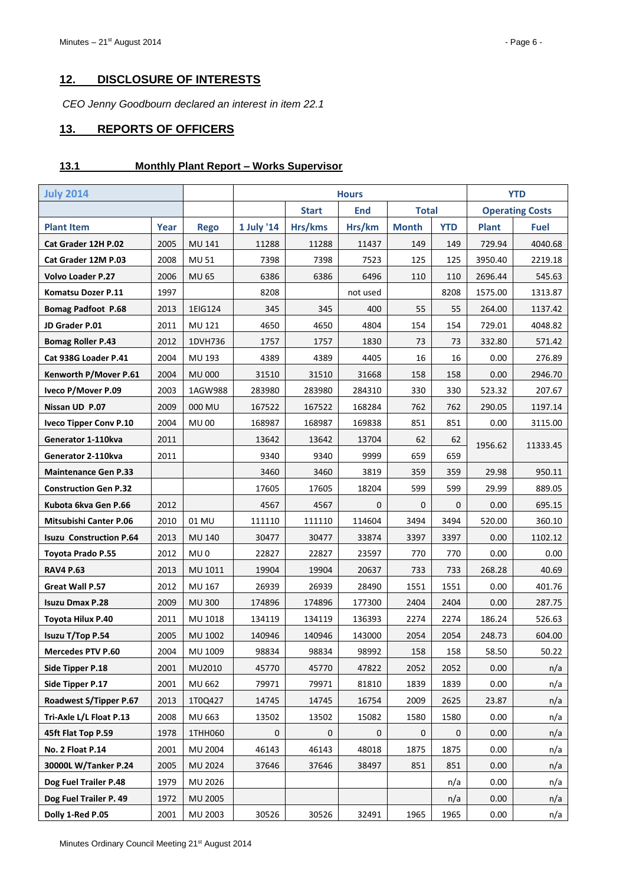# <span id="page-5-0"></span>**12. DISCLOSURE OF INTERESTS**

*CEO Jenny Goodbourn declared an interest in item 22.1*

# <span id="page-5-1"></span>**13. REPORTS OF OFFICERS**

#### <span id="page-5-2"></span>**13.1 Monthly Plant Report – Works Supervisor**

| <b>July 2014</b>               |      |                 | <b>Hours</b> |              |            |              |             | <b>YTD</b>   |                        |
|--------------------------------|------|-----------------|--------------|--------------|------------|--------------|-------------|--------------|------------------------|
|                                |      |                 |              | <b>Start</b> | <b>End</b> | <b>Total</b> |             |              | <b>Operating Costs</b> |
| <b>Plant Item</b>              | Year | <b>Rego</b>     | 1 July '14   | Hrs/kms      | Hrs/km     | <b>Month</b> | <b>YTD</b>  | <b>Plant</b> | <b>Fuel</b>            |
| Cat Grader 12H P.02            | 2005 | MU 141          | 11288        | 11288        | 11437      | 149          | 149         | 729.94       | 4040.68                |
| Cat Grader 12M P.03            | 2008 | <b>MU 51</b>    | 7398         | 7398         | 7523       | 125          | 125         | 3950.40      | 2219.18                |
| <b>Volvo Loader P.27</b>       | 2006 | MU 65           | 6386         | 6386         | 6496       | 110          | 110         | 2696.44      | 545.63                 |
| Komatsu Dozer P.11             | 1997 |                 | 8208         |              | not used   |              | 8208        | 1575.00      | 1313.87                |
| <b>Bomag Padfoot P.68</b>      | 2013 | 1EIG124         | 345          | 345          | 400        | 55           | 55          | 264.00       | 1137.42                |
| JD Grader P.01                 | 2011 | MU 121          | 4650         | 4650         | 4804       | 154          | 154         | 729.01       | 4048.82                |
| <b>Bomag Roller P.43</b>       | 2012 | 1DVH736         | 1757         | 1757         | 1830       | 73           | 73          | 332.80       | 571.42                 |
| Cat 938G Loader P.41           | 2004 | MU 193          | 4389         | 4389         | 4405       | 16           | 16          | 0.00         | 276.89                 |
| Kenworth P/Mover P.61          | 2004 | <b>MU000</b>    | 31510        | 31510        | 31668      | 158          | 158         | 0.00         | 2946.70                |
| Iveco P/Mover P.09             | 2003 | 1AGW988         | 283980       | 283980       | 284310     | 330          | 330         | 523.32       | 207.67                 |
| Nissan UD P.07                 | 2009 | 000 MU          | 167522       | 167522       | 168284     | 762          | 762         | 290.05       | 1197.14                |
| <b>Iveco Tipper Conv P.10</b>  | 2004 | <b>MU00</b>     | 168987       | 168987       | 169838     | 851          | 851         | 0.00         | 3115.00                |
| Generator 1-110kva             | 2011 |                 | 13642        | 13642        | 13704      | 62           | 62          | 1956.62      | 11333.45               |
| Generator 2-110kva             | 2011 |                 | 9340         | 9340         | 9999       | 659          | 659         |              |                        |
| <b>Maintenance Gen P.33</b>    |      |                 | 3460         | 3460         | 3819       | 359          | 359         | 29.98        | 950.11                 |
| <b>Construction Gen P.32</b>   |      |                 | 17605        | 17605        | 18204      | 599          | 599         | 29.99        | 889.05                 |
| Kubota 6kva Gen P.66           | 2012 |                 | 4567         | 4567         | 0          | 0            | $\mathbf 0$ | 0.00         | 695.15                 |
| <b>Mitsubishi Canter P.06</b>  | 2010 | 01 MU           | 111110       | 111110       | 114604     | 3494         | 3494        | 520.00       | 360.10                 |
| <b>Isuzu Construction P.64</b> | 2013 | MU 140          | 30477        | 30477        | 33874      | 3397         | 3397        | 0.00         | 1102.12                |
| <b>Toyota Prado P.55</b>       | 2012 | MU <sub>0</sub> | 22827        | 22827        | 23597      | 770          | 770         | 0.00         | 0.00                   |
| <b>RAV4 P.63</b>               | 2013 | MU 1011         | 19904        | 19904        | 20637      | 733          | 733         | 268.28       | 40.69                  |
| Great Wall P.57                | 2012 | MU 167          | 26939        | 26939        | 28490      | 1551         | 1551        | 0.00         | 401.76                 |
| <b>Isuzu Dmax P.28</b>         | 2009 | <b>MU300</b>    | 174896       | 174896       | 177300     | 2404         | 2404        | 0.00         | 287.75                 |
| Toyota Hilux P.40              | 2011 | MU 1018         | 134119       | 134119       | 136393     | 2274         | 2274        | 186.24       | 526.63                 |
| Isuzu T/Top P.54               | 2005 | MU 1002         | 140946       | 140946       | 143000     | 2054         | 2054        | 248.73       | 604.00                 |
| <b>Mercedes PTV P.60</b>       | 2004 | MU 1009         | 98834        | 98834        | 98992      | 158          | 158         | 58.50        | 50.22                  |
| Side Tipper P.18               | 2001 | MU2010          | 45770        | 45770        | 47822      | 2052         | 2052        | 0.00         | n/a                    |
| Side Tipper P.17               | 2001 | MU 662          | 79971        | 79971        | 81810      | 1839         | 1839        | 0.00         | n/a                    |
| Roadwest S/Tipper P.67         | 2013 | 1T0Q427         | 14745        | 14745        | 16754      | 2009         | 2625        | 23.87        | n/a                    |
| Tri-Axle L/L Float P.13        | 2008 | MU 663          | 13502        | 13502        | 15082      | 1580         | 1580        | 0.00         | n/a                    |
| 45ft Flat Top P.59             | 1978 | 1THH060         | 0            | 0            | 0          | 0            | 0           | 0.00         | n/a                    |
| No. 2 Float P.14               | 2001 | <b>MU 2004</b>  | 46143        | 46143        | 48018      | 1875         | 1875        | 0.00         | n/a                    |
| 30000L W/Tanker P.24           | 2005 | MU 2024         | 37646        | 37646        | 38497      | 851          | 851         | 0.00         | n/a                    |
| Dog Fuel Trailer P.48          | 1979 | MU 2026         |              |              |            |              | n/a         | 0.00         | n/a                    |
| Dog Fuel Trailer P. 49         | 1972 | MU 2005         |              |              |            |              | n/a         | 0.00         | n/a                    |
| Dolly 1-Red P.05               | 2001 | MU 2003         | 30526        | 30526        | 32491      | 1965         | 1965        | 0.00         | n/a                    |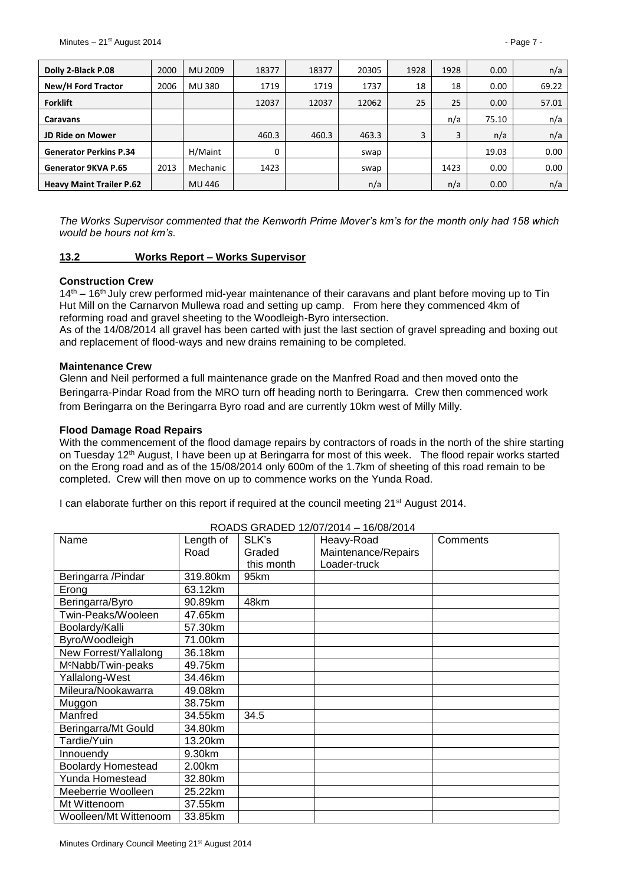| Dolly 2-Black P.08              | 2000 | MU 2009  | 18377 | 18377 | 20305 | 1928 | 1928 | 0.00  | n/a   |
|---------------------------------|------|----------|-------|-------|-------|------|------|-------|-------|
| New/H Ford Tractor              | 2006 | MU 380   | 1719  | 1719  | 1737  | 18   | 18   | 0.00  | 69.22 |
| <b>Forklift</b>                 |      |          | 12037 | 12037 | 12062 | 25   | 25   | 0.00  | 57.01 |
| Caravans                        |      |          |       |       |       |      | n/a  | 75.10 | n/a   |
| <b>JD Ride on Mower</b>         |      |          | 460.3 | 460.3 | 463.3 | 3    | 3    | n/a   | n/a   |
| <b>Generator Perkins P.34</b>   |      | H/Maint  | 0     |       | swap  |      |      | 19.03 | 0.00  |
| Generator 9KVA P.65             | 2013 | Mechanic | 1423  |       | swap  |      | 1423 | 0.00  | 0.00  |
| <b>Heavy Maint Trailer P.62</b> |      | MU 446   |       |       | n/a   |      | n/a  | 0.00  | n/a   |

*The Works Supervisor commented that the Kenworth Prime Mover's km's for the month only had 158 which would be hours not km's.*

#### <span id="page-6-0"></span>**13.2 Works Report – Works Supervisor**

#### **Construction Crew**

 $14<sup>th</sup> - 16<sup>th</sup>$  July crew performed mid-year maintenance of their caravans and plant before moving up to Tin Hut Mill on the Carnarvon Mullewa road and setting up camp. From here they commenced 4km of reforming road and gravel sheeting to the Woodleigh-Byro intersection.

As of the 14/08/2014 all gravel has been carted with just the last section of gravel spreading and boxing out and replacement of flood-ways and new drains remaining to be completed.

#### **Maintenance Crew**

Glenn and Neil performed a full maintenance grade on the Manfred Road and then moved onto the Beringarra-Pindar Road from the MRO turn off heading north to Beringarra. Crew then commenced work from Beringarra on the Beringarra Byro road and are currently 10km west of Milly Milly.

#### **Flood Damage Road Repairs**

With the commencement of the flood damage repairs by contractors of roads in the north of the shire starting on Tuesday 12<sup>th</sup> August, I have been up at Beringarra for most of this week. The flood repair works started on the Erong road and as of the 15/08/2014 only 600m of the 1.7km of sheeting of this road remain to be completed. Crew will then move on up to commence works on the Yunda Road.

I can elaborate further on this report if required at the council meeting 21<sup>st</sup> August 2014.

| Name                           | Length of | SLK's      | Heavy-Road          | Comments |
|--------------------------------|-----------|------------|---------------------|----------|
|                                | Road      | Graded     | Maintenance/Repairs |          |
|                                |           | this month | Loader-truck        |          |
| Beringarra / Pindar            | 319.80km  | 95km       |                     |          |
| Erong                          | 63.12km   |            |                     |          |
| Beringarra/Byro                | 90.89km   | 48km       |                     |          |
| Twin-Peaks/Wooleen             | 47.65km   |            |                     |          |
| Boolardy/Kalli                 | 57.30km   |            |                     |          |
| Byro/Woodleigh                 | 71.00km   |            |                     |          |
| New Forrest/Yallalong          | 36.18km   |            |                     |          |
| M <sup>c</sup> Nabb/Twin-peaks | 49.75km   |            |                     |          |
| Yallalong-West                 | 34.46km   |            |                     |          |
| Mileura/Nookawarra             | 49.08km   |            |                     |          |
| Muggon                         | 38.75km   |            |                     |          |
| Manfred                        | 34.55km   | 34.5       |                     |          |
| Beringarra/Mt Gould            | 34.80km   |            |                     |          |
| Tardie/Yuin                    | 13.20km   |            |                     |          |
| Innouendy                      | 9.30km    |            |                     |          |
| <b>Boolardy Homestead</b>      | 2.00km    |            |                     |          |
| Yunda Homestead                | 32.80km   |            |                     |          |
| Meeberrie Woolleen             | 25.22km   |            |                     |          |
| Mt Wittenoom                   | 37.55km   |            |                     |          |
| Woolleen/Mt Wittenoom          | 33.85km   |            |                     |          |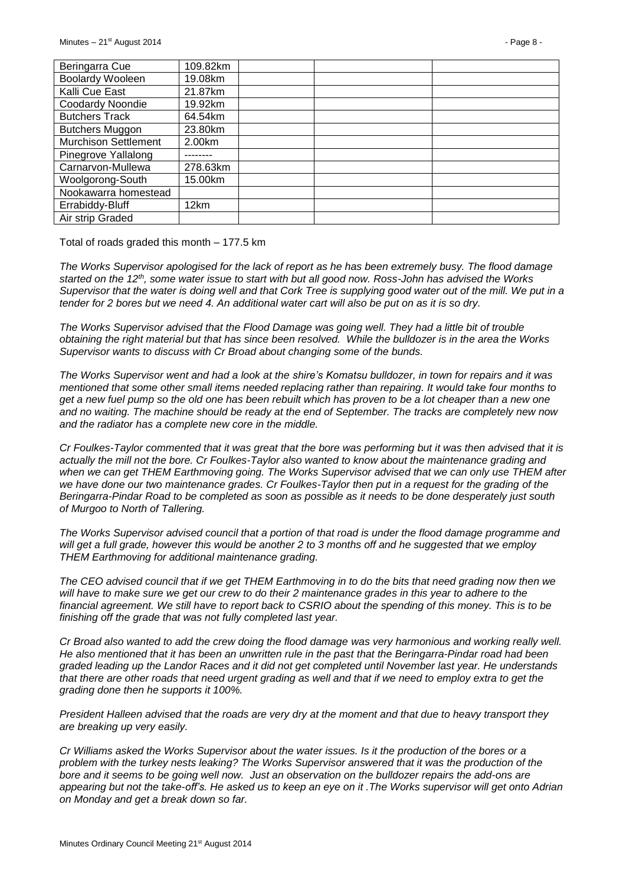| Beringarra Cue              | 109.82km |  |  |
|-----------------------------|----------|--|--|
| Boolardy Wooleen            | 19.08km  |  |  |
| Kalli Cue East              | 21.87km  |  |  |
| Coodardy Noondie            | 19.92km  |  |  |
| <b>Butchers Track</b>       | 64.54km  |  |  |
| <b>Butchers Muggon</b>      | 23.80km  |  |  |
| <b>Murchison Settlement</b> | 2.00km   |  |  |
| Pinegrove Yallalong         |          |  |  |
| Carnarvon-Mullewa           | 278.63km |  |  |
| Woolgorong-South            | 15.00km  |  |  |
| Nookawarra homestead        |          |  |  |
| Errabiddy-Bluff             | 12km     |  |  |
| Air strip Graded            |          |  |  |

Total of roads graded this month – 177.5 km

*The Works Supervisor apologised for the lack of report as he has been extremely busy. The flood damage started on the 12th, some water issue to start with but all good now. Ross-John has advised the Works Supervisor that the water is doing well and that Cork Tree is supplying good water out of the mill. We put in a tender for 2 bores but we need 4. An additional water cart will also be put on as it is so dry.*

*The Works Supervisor advised that the Flood Damage was going well. They had a little bit of trouble obtaining the right material but that has since been resolved. While the bulldozer is in the area the Works Supervisor wants to discuss with Cr Broad about changing some of the bunds.*

*The Works Supervisor went and had a look at the shire's Komatsu bulldozer, in town for repairs and it was mentioned that some other small items needed replacing rather than repairing. It would take four months to get a new fuel pump so the old one has been rebuilt which has proven to be a lot cheaper than a new one*  and no waiting. The machine should be ready at the end of September. The tracks are completely new now *and the radiator has a complete new core in the middle.* 

*Cr Foulkes-Taylor commented that it was great that the bore was performing but it was then advised that it is actually the mill not the bore. Cr Foulkes-Taylor also wanted to know about the maintenance grading and when we can get THEM Earthmoving going. The Works Supervisor advised that we can only use THEM after*  we have done our two maintenance grades. Cr Foulkes-Taylor then put in a request for the grading of the *Beringarra-Pindar Road to be completed as soon as possible as it needs to be done desperately just south of Murgoo to North of Tallering.*

*The Works Supervisor advised council that a portion of that road is under the flood damage programme and will get a full grade, however this would be another 2 to 3 months off and he suggested that we employ THEM Earthmoving for additional maintenance grading.*

*The CEO advised council that if we get THEM Earthmoving in to do the bits that need grading now then we will have to make sure we get our crew to do their 2 maintenance grades in this year to adhere to the financial agreement. We still have to report back to CSRIO about the spending of this money. This is to be finishing off the grade that was not fully completed last year.*

*Cr Broad also wanted to add the crew doing the flood damage was very harmonious and working really well. He also mentioned that it has been an unwritten rule in the past that the Beringarra-Pindar road had been graded leading up the Landor Races and it did not get completed until November last year. He understands that there are other roads that need urgent grading as well and that if we need to employ extra to get the grading done then he supports it 100%.*

*President Halleen advised that the roads are very dry at the moment and that due to heavy transport they are breaking up very easily.*

*Cr Williams asked the Works Supervisor about the water issues. Is it the production of the bores or a problem with the turkey nests leaking? The Works Supervisor answered that it was the production of the bore and it seems to be going well now. Just an observation on the bulldozer repairs the add-ons are appearing but not the take-off's. He asked us to keep an eye on it .The Works supervisor will get onto Adrian on Monday and get a break down so far.*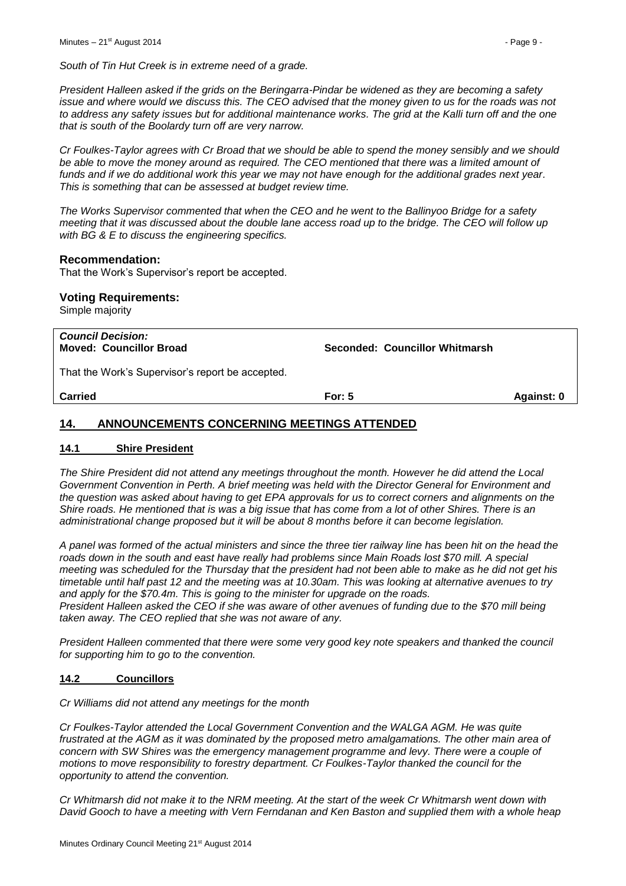*President Halleen asked if the grids on the Beringarra-Pindar be widened as they are becoming a safety issue and where would we discuss this. The CEO advised that the money given to us for the roads was not to address any safety issues but for additional maintenance works. The grid at the Kalli turn off and the one that is south of the Boolardy turn off are very narrow.*

*Cr Foulkes-Taylor agrees with Cr Broad that we should be able to spend the money sensibly and we should be able to move the money around as required. The CEO mentioned that there was a limited amount of funds and if we do additional work this year we may not have enough for the additional grades next year. This is something that can be assessed at budget review time.*

*The Works Supervisor commented that when the CEO and he went to the Ballinyoo Bridge for a safety meeting that it was discussed about the double lane access road up to the bridge. The CEO will follow up with BG & E to discuss the engineering specifics.*

#### **Recommendation:**

That the Work's Supervisor's report be accepted.

# **Voting Requirements:**

Simple majority

| <b>Council Decision:</b><br><b>Moved: Councillor Broad</b> | Seconded: Councillor Whitmarsh |            |
|------------------------------------------------------------|--------------------------------|------------|
| That the Work's Supervisor's report be accepted.           |                                |            |
| <b>Carried</b>                                             | For: $5$                       | Against: 0 |

# <span id="page-8-0"></span>**14. ANNOUNCEMENTS CONCERNING MEETINGS ATTENDED**

### <span id="page-8-1"></span>**14.1 Shire President**

*The Shire President did not attend any meetings throughout the month. However he did attend the Local Government Convention in Perth. A brief meeting was held with the Director General for Environment and the question was asked about having to get EPA approvals for us to correct corners and alignments on the Shire roads. He mentioned that is was a big issue that has come from a lot of other Shires. There is an administrational change proposed but it will be about 8 months before it can become legislation.* 

*A panel was formed of the actual ministers and since the three tier railway line has been hit on the head the roads down in the south and east have really had problems since Main Roads lost \$70 mill. A special meeting was scheduled for the Thursday that the president had not been able to make as he did not get his timetable until half past 12 and the meeting was at 10.30am. This was looking at alternative avenues to try and apply for the \$70.4m. This is going to the minister for upgrade on the roads.*

*President Halleen asked the CEO if she was aware of other avenues of funding due to the \$70 mill being taken away. The CEO replied that she was not aware of any.*

*President Halleen commented that there were some very good key note speakers and thanked the council for supporting him to go to the convention.*

# <span id="page-8-2"></span>**14.2 Councillors**

*Cr Williams did not attend any meetings for the month*

*Cr Foulkes-Taylor attended the Local Government Convention and the WALGA AGM. He was quite frustrated at the AGM as it was dominated by the proposed metro amalgamations. The other main area of concern with SW Shires was the emergency management programme and levy. There were a couple of motions to move responsibility to forestry department. Cr Foulkes-Taylor thanked the council for the opportunity to attend the convention.*

*Cr Whitmarsh did not make it to the NRM meeting. At the start of the week Cr Whitmarsh went down with David Gooch to have a meeting with Vern Ferndanan and Ken Baston and supplied them with a whole heap*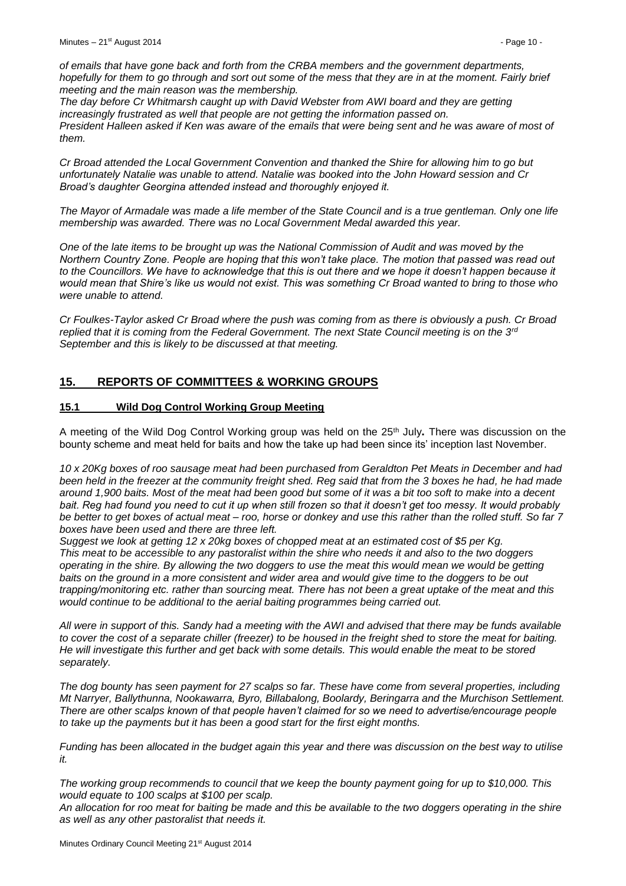*of emails that have gone back and forth from the CRBA members and the government departments, hopefully for them to go through and sort out some of the mess that they are in at the moment. Fairly brief meeting and the main reason was the membership.*

*The day before Cr Whitmarsh caught up with David Webster from AWI board and they are getting increasingly frustrated as well that people are not getting the information passed on. President Halleen asked if Ken was aware of the emails that were being sent and he was aware of most of them.*

*Cr Broad attended the Local Government Convention and thanked the Shire for allowing him to go but unfortunately Natalie was unable to attend. Natalie was booked into the John Howard session and Cr Broad's daughter Georgina attended instead and thoroughly enjoyed it.*

*The Mayor of Armadale was made a life member of the State Council and is a true gentleman. Only one life membership was awarded. There was no Local Government Medal awarded this year.*

*One of the late items to be brought up was the National Commission of Audit and was moved by the Northern Country Zone. People are hoping that this won't take place. The motion that passed was read out to the Councillors. We have to acknowledge that this is out there and we hope it doesn't happen because it would mean that Shire's like us would not exist. This was something Cr Broad wanted to bring to those who were unable to attend.*

*Cr Foulkes-Taylor asked Cr Broad where the push was coming from as there is obviously a push. Cr Broad replied that it is coming from the Federal Government. The next State Council meeting is on the 3rd September and this is likely to be discussed at that meeting.*

# <span id="page-9-0"></span>**15. REPORTS OF COMMITTEES & WORKING GROUPS**

# <span id="page-9-1"></span>**15.1 Wild Dog Control Working Group Meeting**

A meeting of the Wild Dog Control Working group was held on the 25th July**.** There was discussion on the bounty scheme and meat held for baits and how the take up had been since its' inception last November.

*10 x 20Kg boxes of roo sausage meat had been purchased from Geraldton Pet Meats in December and had been held in the freezer at the community freight shed. Reg said that from the 3 boxes he had, he had made around 1,900 baits. Most of the meat had been good but some of it was a bit too soft to make into a decent bait. Reg had found you need to cut it up when still frozen so that it doesn't get too messy. It would probably be better to get boxes of actual meat – roo, horse or donkey and use this rather than the rolled stuff. So far 7 boxes have been used and there are three left.* 

*Suggest we look at getting 12 x 20kg boxes of chopped meat at an estimated cost of \$5 per Kg. This meat to be accessible to any pastoralist within the shire who needs it and also to the two doggers operating in the shire. By allowing the two doggers to use the meat this would mean we would be getting baits on the ground in a more consistent and wider area and would give time to the doggers to be out trapping/monitoring etc. rather than sourcing meat. There has not been a great uptake of the meat and this would continue to be additional to the aerial baiting programmes being carried out.*

*All were in support of this. Sandy had a meeting with the AWI and advised that there may be funds available to cover the cost of a separate chiller (freezer) to be housed in the freight shed to store the meat for baiting. He will investigate this further and get back with some details. This would enable the meat to be stored separately.*

*The dog bounty has seen payment for 27 scalps so far. These have come from several properties, including Mt Narryer, Ballythunna, Nookawarra, Byro, Billabalong, Boolardy, Beringarra and the Murchison Settlement. There are other scalps known of that people haven't claimed for so we need to advertise/encourage people to take up the payments but it has been a good start for the first eight months.*

*Funding has been allocated in the budget again this year and there was discussion on the best way to utilise it.*

*The working group recommends to council that we keep the bounty payment going for up to \$10,000. This would equate to 100 scalps at \$100 per scalp.*

*An allocation for roo meat for baiting be made and this be available to the two doggers operating in the shire as well as any other pastoralist that needs it.*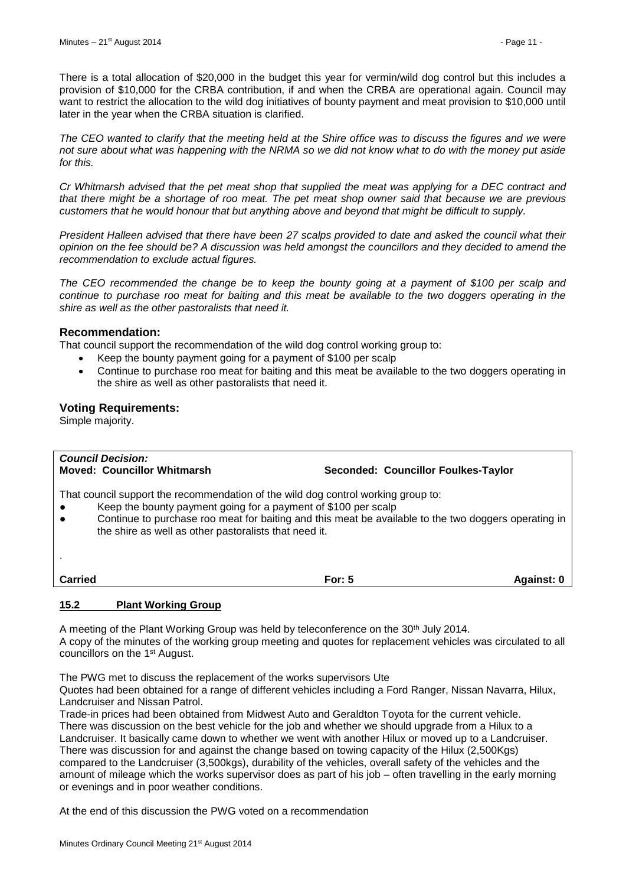There is a total allocation of \$20,000 in the budget this year for vermin/wild dog control but this includes a provision of \$10,000 for the CRBA contribution, if and when the CRBA are operational again. Council may want to restrict the allocation to the wild dog initiatives of bounty payment and meat provision to \$10,000 until later in the year when the CRBA situation is clarified.

*The CEO wanted to clarify that the meeting held at the Shire office was to discuss the figures and we were not sure about what was happening with the NRMA so we did not know what to do with the money put aside for this.*

*Cr Whitmarsh advised that the pet meat shop that supplied the meat was applying for a DEC contract and that there might be a shortage of roo meat. The pet meat shop owner said that because we are previous customers that he would honour that but anything above and beyond that might be difficult to supply.*

*President Halleen advised that there have been 27 scalps provided to date and asked the council what their opinion on the fee should be? A discussion was held amongst the councillors and they decided to amend the recommendation to exclude actual figures.*

*The CEO recommended the change be to keep the bounty going at a payment of \$100 per scalp and continue to purchase roo meat for baiting and this meat be available to the two doggers operating in the shire as well as the other pastoralists that need it.*

#### **Recommendation:**

That council support the recommendation of the wild dog control working group to:

- Keep the bounty payment going for a payment of \$100 per scalp
- Continue to purchase roo meat for baiting and this meat be available to the two doggers operating in the shire as well as other pastoralists that need it.

#### **Voting Requirements:**

Simple majority.

| <b>Council Decision:</b><br><b>Moved: Councillor Whitmarsh</b>                                                                                                                                                                                                                                                                                 | Seconded: Councillor Foulkes-Taylor |            |
|------------------------------------------------------------------------------------------------------------------------------------------------------------------------------------------------------------------------------------------------------------------------------------------------------------------------------------------------|-------------------------------------|------------|
| That council support the recommendation of the wild dog control working group to:<br>Keep the bounty payment going for a payment of \$100 per scalp<br>$\bullet$<br>Continue to purchase roo meat for baiting and this meat be available to the two doggers operating in<br>$\bullet$<br>the shire as well as other pastoralists that need it. |                                     |            |
|                                                                                                                                                                                                                                                                                                                                                |                                     |            |
| <b>Carried</b>                                                                                                                                                                                                                                                                                                                                 | For: $5$                            | Against: 0 |
| 15.2<br><b>Plant Working Group</b>                                                                                                                                                                                                                                                                                                             |                                     |            |

<span id="page-10-0"></span>A meeting of the Plant Working Group was held by teleconference on the 30th July 2014. A copy of the minutes of the working group meeting and quotes for replacement vehicles was circulated to all councillors on the 1st August.

The PWG met to discuss the replacement of the works supervisors Ute

Quotes had been obtained for a range of different vehicles including a Ford Ranger, Nissan Navarra, Hilux, Landcruiser and Nissan Patrol.

Trade-in prices had been obtained from Midwest Auto and Geraldton Toyota for the current vehicle. There was discussion on the best vehicle for the job and whether we should upgrade from a Hilux to a Landcruiser. It basically came down to whether we went with another Hilux or moved up to a Landcruiser. There was discussion for and against the change based on towing capacity of the Hilux (2,500Kgs) compared to the Landcruiser (3,500kgs), durability of the vehicles, overall safety of the vehicles and the amount of mileage which the works supervisor does as part of his job – often travelling in the early morning or evenings and in poor weather conditions.

At the end of this discussion the PWG voted on a recommendation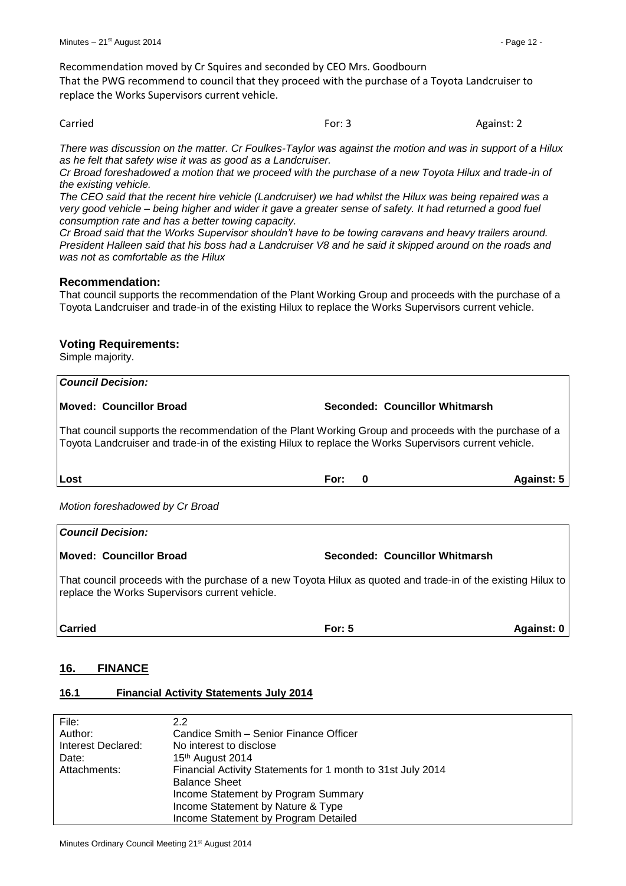Recommendation moved by Cr Squires and seconded by CEO Mrs. Goodbourn

That the PWG recommend to council that they proceed with the purchase of a Toyota Landcruiser to replace the Works Supervisors current vehicle.

Carried **For: 3** Against: 2

*There was discussion on the matter. Cr Foulkes-Taylor was against the motion and was in support of a Hilux as he felt that safety wise it was as good as a Landcruiser.*

*Cr Broad foreshadowed a motion that we proceed with the purchase of a new Toyota Hilux and trade-in of the existing vehicle.*

*The CEO said that the recent hire vehicle (Landcruiser) we had whilst the Hilux was being repaired was a very good vehicle – being higher and wider it gave a greater sense of safety. It had returned a good fuel consumption rate and has a better towing capacity.*

*Cr Broad said that the Works Supervisor shouldn't have to be towing caravans and heavy trailers around. President Halleen said that his boss had a Landcruiser V8 and he said it skipped around on the roads and was not as comfortable as the Hilux*

#### **Recommendation:**

That council supports the recommendation of the Plant Working Group and proceeds with the purchase of a Toyota Landcruiser and trade-in of the existing Hilux to replace the Works Supervisors current vehicle.

# **Voting Requirements:**

Simple majority.

| <b>Council Decision:</b>                                                                                                                                                                                           |                  |                                |                   |  |  |  |  |  |
|--------------------------------------------------------------------------------------------------------------------------------------------------------------------------------------------------------------------|------------------|--------------------------------|-------------------|--|--|--|--|--|
| <b>Moved: Councillor Broad</b>                                                                                                                                                                                     |                  | Seconded: Councillor Whitmarsh |                   |  |  |  |  |  |
| That council supports the recommendation of the Plant Working Group and proceeds with the purchase of a<br>Toyota Landcruiser and trade-in of the existing Hilux to replace the Works Supervisors current vehicle. |                  |                                |                   |  |  |  |  |  |
| Lost                                                                                                                                                                                                               | For:<br>$\bf{0}$ |                                | <b>Against: 5</b> |  |  |  |  |  |
| Motion foreshadowed by Cr Broad                                                                                                                                                                                    |                  |                                |                   |  |  |  |  |  |
| <b>Council Decision:</b>                                                                                                                                                                                           |                  |                                |                   |  |  |  |  |  |
| <b>Moved: Councillor Broad</b>                                                                                                                                                                                     |                  | Seconded: Councillor Whitmarsh |                   |  |  |  |  |  |
| That council proceeds with the purchase of a new Toyota Hilux as quoted and trade-in of the existing Hilux to<br>replace the Works Supervisors current vehicle.                                                    |                  |                                |                   |  |  |  |  |  |

**Carried For: 5 Against: 0**

# <span id="page-11-0"></span>**16. FINANCE**

# <span id="page-11-1"></span>**16.1 Financial Activity Statements July 2014**

| File:              | 2.2                                                         |
|--------------------|-------------------------------------------------------------|
| Author:            | Candice Smith – Senior Finance Officer                      |
| Interest Declared: | No interest to disclose                                     |
| Date:              | 15th August 2014                                            |
| Attachments:       | Financial Activity Statements for 1 month to 31st July 2014 |
|                    | <b>Balance Sheet</b>                                        |
|                    | Income Statement by Program Summary                         |
|                    | Income Statement by Nature & Type                           |
|                    | Income Statement by Program Detailed                        |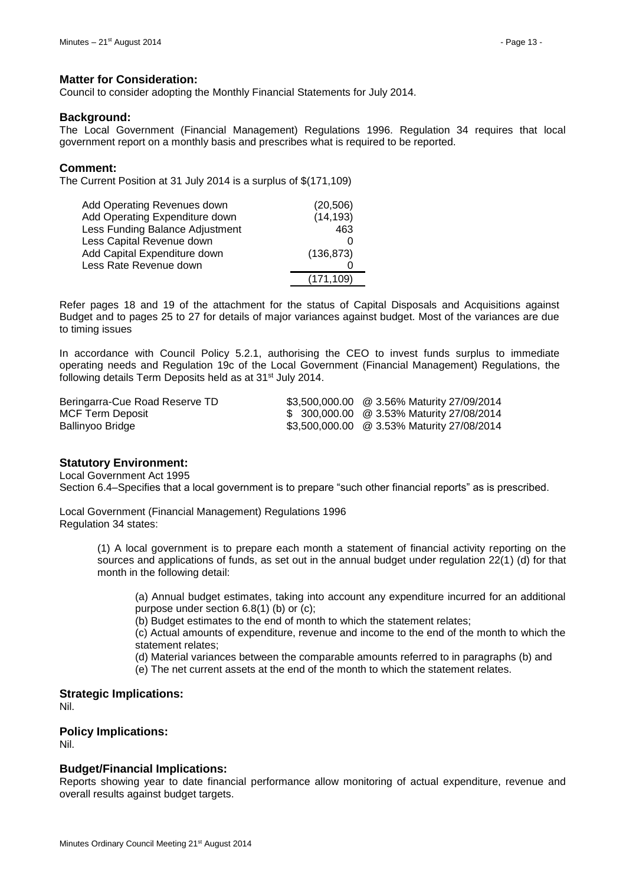#### **Matter for Consideration:**

Council to consider adopting the Monthly Financial Statements for July 2014.

#### **Background:**

The Local Government (Financial Management) Regulations 1996. Regulation 34 requires that local government report on a monthly basis and prescribes what is required to be reported.

#### **Comment:**

The Current Position at 31 July 2014 is a surplus of \$(171,109)

| Add Operating Revenues down     | (20, 506)  |
|---------------------------------|------------|
| Add Operating Expenditure down  | (14, 193)  |
| Less Funding Balance Adjustment | 463        |
| Less Capital Revenue down       |            |
| Add Capital Expenditure down    | (136, 873) |
| Less Rate Revenue down          |            |
|                                 | (171, 109) |

Refer pages 18 and 19 of the attachment for the status of Capital Disposals and Acquisitions against Budget and to pages 25 to 27 for details of major variances against budget. Most of the variances are due to timing issues

In accordance with Council Policy 5.2.1, authorising the CEO to invest funds surplus to immediate operating needs and Regulation 19c of the Local Government (Financial Management) Regulations, the following details Term Deposits held as at 31<sup>st</sup> July 2014.

| Beringarra-Cue Road Reserve TD | \$3,500,000.00 @ 3.56% Maturity 27/09/2014 |
|--------------------------------|--------------------------------------------|
| MCF Term Deposit               | \$ 300,000.00 @ 3.53% Maturity 27/08/2014  |
| Ballinyoo Bridge               | \$3,500,000.00 @ 3.53% Maturity 27/08/2014 |

#### **Statutory Environment:**

Local Government Act 1995

Section 6.4–Specifies that a local government is to prepare "such other financial reports" as is prescribed.

Local Government (Financial Management) Regulations 1996 Regulation 34 states:

> (1) A local government is to prepare each month a statement of financial activity reporting on the sources and applications of funds, as set out in the annual budget under regulation 22(1) (d) for that month in the following detail:

(a) Annual budget estimates, taking into account any expenditure incurred for an additional purpose under section 6.8(1) (b) or (c);

(b) Budget estimates to the end of month to which the statement relates;

(c) Actual amounts of expenditure, revenue and income to the end of the month to which the statement relates;

(d) Material variances between the comparable amounts referred to in paragraphs (b) and

(e) The net current assets at the end of the month to which the statement relates.

#### **Strategic Implications:** Nil.

# **Policy Implications:**

Nil.

#### **Budget/Financial Implications:**

Reports showing year to date financial performance allow monitoring of actual expenditure, revenue and overall results against budget targets.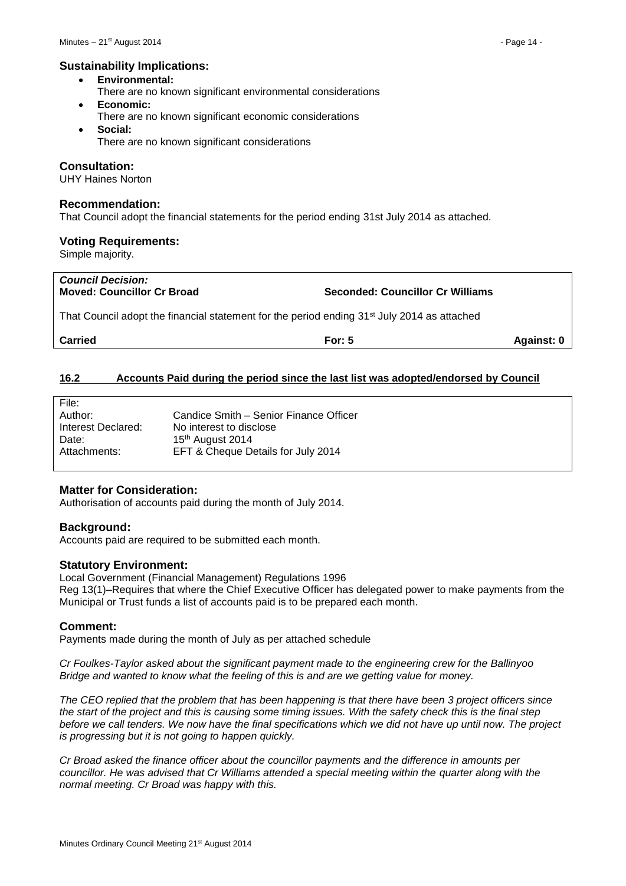#### **Sustainability Implications:**

- **Environmental:**
- There are no known significant environmental considerations
- **Economic:**
- There are no known significant economic considerations **Social:**
- There are no known significant considerations

### **Consultation:**

UHY Haines Norton

#### **Recommendation:**

That Council adopt the financial statements for the period ending 31st July 2014 as attached.

#### **Voting Requirements:**

Simple majority.

# *Council Decision:* **Moved: Councillor Cr Broad Seconded: Councillor Cr Williams**

That Council adopt the financial statement for the period ending 31<sup>st</sup> July 2014 as attached

**Carried For: 5 Against: 0**

# <span id="page-13-0"></span>**16.2 Accounts Paid during the period since the last list was adopted/endorsed by Council**

| File:              |                                        |
|--------------------|----------------------------------------|
| Author:            | Candice Smith - Senior Finance Officer |
| Interest Declared: | No interest to disclose                |
| Date:              | 15th August 2014                       |
| Attachments:       | EFT & Cheque Details for July 2014     |
|                    |                                        |

# **Matter for Consideration:**

Authorisation of accounts paid during the month of July 2014.

# **Background:**

Accounts paid are required to be submitted each month.

# **Statutory Environment:**

Local Government (Financial Management) Regulations 1996 Reg 13(1)–Requires that where the Chief Executive Officer has delegated power to make payments from the Municipal or Trust funds a list of accounts paid is to be prepared each month.

# **Comment:**

Payments made during the month of July as per attached schedule

*Cr Foulkes-Taylor asked about the significant payment made to the engineering crew for the Ballinyoo Bridge and wanted to know what the feeling of this is and are we getting value for money.* 

*The CEO replied that the problem that has been happening is that there have been 3 project officers since the start of the project and this is causing some timing issues. With the safety check this is the final step before we call tenders. We now have the final specifications which we did not have up until now. The project is progressing but it is not going to happen quickly.*

*Cr Broad asked the finance officer about the councillor payments and the difference in amounts per councillor. He was advised that Cr Williams attended a special meeting within the quarter along with the normal meeting. Cr Broad was happy with this.*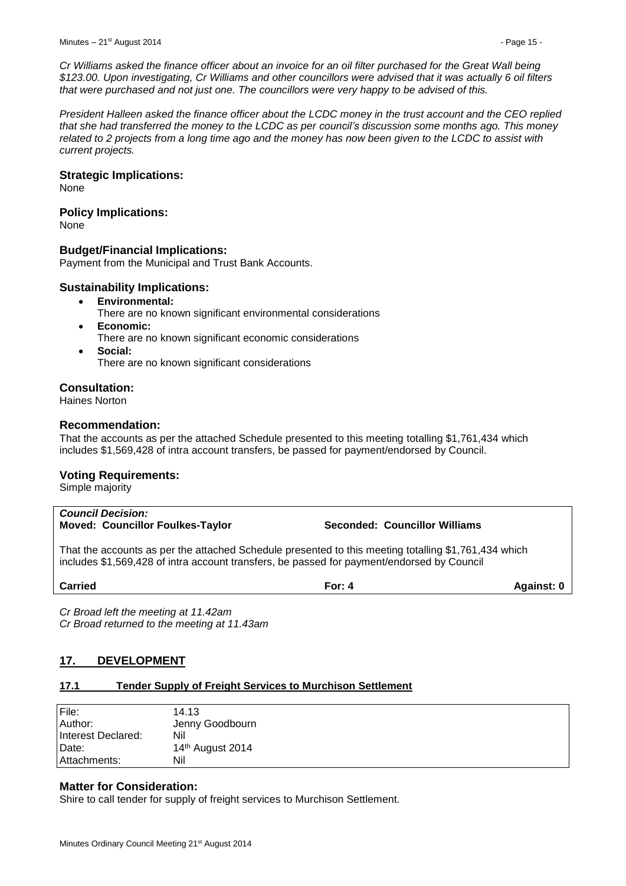*Cr Williams asked the finance officer about an invoice for an oil filter purchased for the Great Wall being \$123.00. Upon investigating, Cr Williams and other councillors were advised that it was actually 6 oil filters that were purchased and not just one. The councillors were very happy to be advised of this.*

*President Halleen asked the finance officer about the LCDC money in the trust account and the CEO replied that she had transferred the money to the LCDC as per council's discussion some months ago. This money related to 2 projects from a long time ago and the money has now been given to the LCDC to assist with current projects.*

#### **Strategic Implications:**

None

# **Policy Implications:**

None

# **Budget/Financial Implications:**

Payment from the Municipal and Trust Bank Accounts.

#### **Sustainability Implications:**

- **Environmental:**
	- There are no known significant environmental considerations
- **Economic:**
- There are no known significant economic considerations
- **Social:** There are no known significant considerations

#### **Consultation:**

Haines Norton

#### **Recommendation:**

That the accounts as per the attached Schedule presented to this meeting totalling \$1,761,434 which includes \$1,569,428 of intra account transfers, be passed for payment/endorsed by Council.

# **Voting Requirements:**

Simple majority

# *Council Decision:* **Moved: Councillor Foulkes-Taylor Seconded: Councillor Williams**

That the accounts as per the attached Schedule presented to this meeting totalling \$1,761,434 which includes \$1,569,428 of intra account transfers, be passed for payment/endorsed by Council

**Carried For: 4 Against: 0**

*Cr Broad left the meeting at 11.42am Cr Broad returned to the meeting at 11.43am*

# <span id="page-14-0"></span>**17. DEVELOPMENT**

# <span id="page-14-1"></span>**17.1 Tender Supply of Freight Services to Murchison Settlement**

| File:              | 14.13                        |
|--------------------|------------------------------|
| Author:            | Jenny Goodbourn              |
| Interest Declared: | Nil                          |
| Date:              | 14 <sup>th</sup> August 2014 |
| l Attachments:     | Nil                          |

# **Matter for Consideration:**

Shire to call tender for supply of freight services to Murchison Settlement.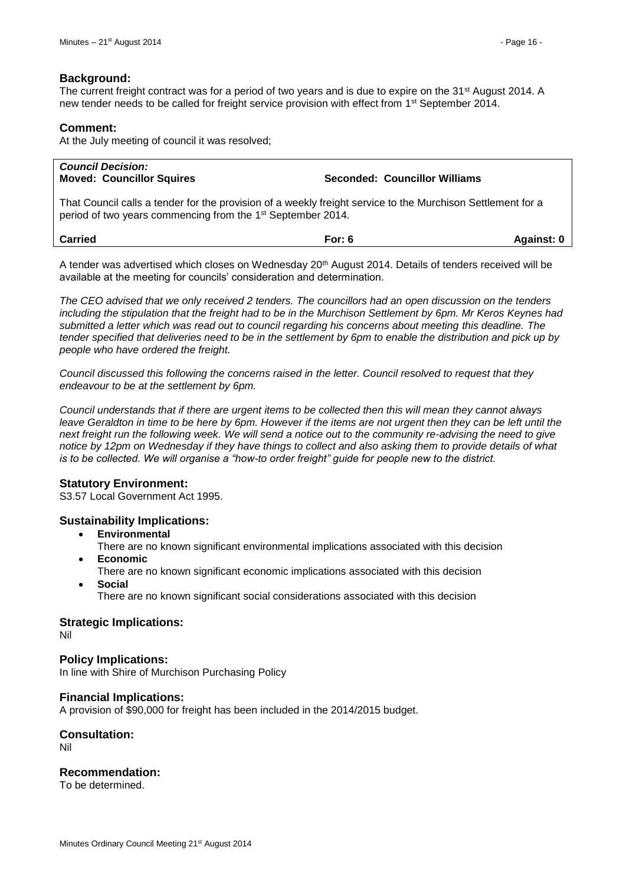### **Background:**

The current freight contract was for a period of two years and is due to expire on the 31<sup>st</sup> August 2014. A new tender needs to be called for freight service provision with effect from 1<sup>st</sup> September 2014.

#### **Comment:**

At the July meeting of council it was resolved;

| <b>Council Decision:</b><br><b>Moved: Councillor Squires</b>                                                                                                                           | Seconded: Councillor Williams |  |
|----------------------------------------------------------------------------------------------------------------------------------------------------------------------------------------|-------------------------------|--|
| That Council calls a tender for the provision of a weekly freight service to the Murchison Settlement for a<br>period of two years commencing from the 1 <sup>st</sup> September 2014. |                               |  |
| <b>Carried</b><br>For: $6$<br>Against: 0                                                                                                                                               |                               |  |
| A tender was advertised which closes on Wednesday 20 <sup>th</sup> August 2014. Details of tenders received will be                                                                    |                               |  |

available at the meeting for councils' consideration and determination.

*The CEO advised that we only received 2 tenders. The councillors had an open discussion on the tenders including the stipulation that the freight had to be in the Murchison Settlement by 6pm. Mr Keros Keynes had submitted a letter which was read out to council regarding his concerns about meeting this deadline. The tender specified that deliveries need to be in the settlement by 6pm to enable the distribution and pick up by people who have ordered the freight.*

*Council discussed this following the concerns raised in the letter. Council resolved to request that they endeavour to be at the settlement by 6pm.* 

*Council understands that if there are urgent items to be collected then this will mean they cannot always leave Geraldton in time to be here by 6pm. However if the items are not urgent then they can be left until the next freight run the following week. We will send a notice out to the community re-advising the need to give notice by 12pm on Wednesday if they have things to collect and also asking them to provide details of what is to be collected. We will organise a "how-to order freight" guide for people new to the district.*

#### **Statutory Environment:**

S3.57 Local Government Act 1995.

# **Sustainability Implications:**

- **Environmental**
	- There are no known significant environmental implications associated with this decision **Economic**
- There are no known significant economic implications associated with this decision
- **Social**

There are no known significant social considerations associated with this decision

#### **Strategic Implications:**

Nil

**Policy Implications:**

In line with Shire of Murchison Purchasing Policy

#### **Financial Implications:**

A provision of \$90,000 for freight has been included in the 2014/2015 budget.

# **Consultation:**

Nil

# **Recommendation:**

To be determined.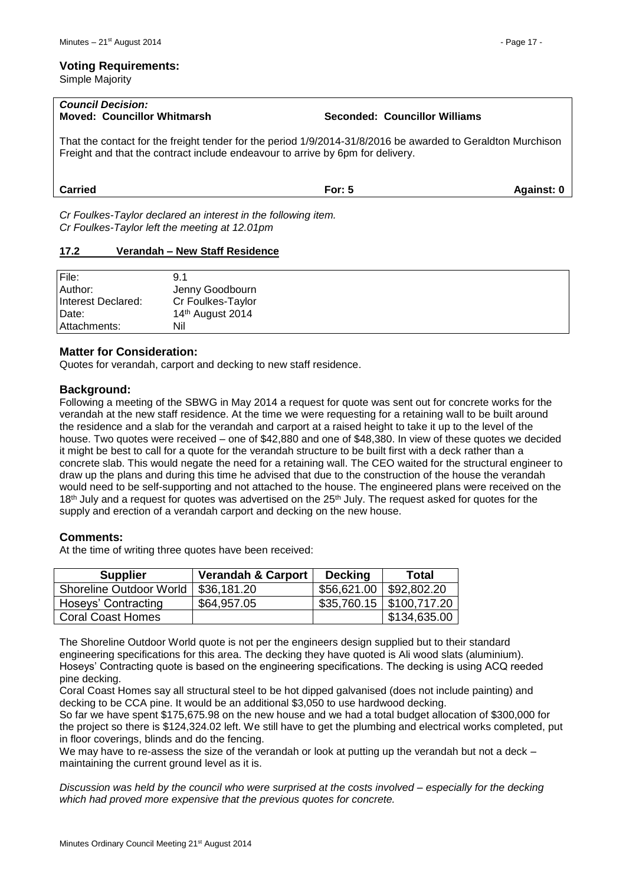#### **Voting Requirements:**

Simple Majority

| <b>Council Decision:</b><br><b>Moved: Councillor Whitmarsh</b>                                                                                                                                | Seconded: Councillor Williams |            |
|-----------------------------------------------------------------------------------------------------------------------------------------------------------------------------------------------|-------------------------------|------------|
| That the contact for the freight tender for the period 1/9/2014-31/8/2016 be awarded to Geraldton Murchison<br>Freight and that the contract include endeavour to arrive by 6pm for delivery. |                               |            |
| <b>Carried</b>                                                                                                                                                                                | For: $5$                      | Against: 0 |

*Cr Foulkes-Taylor declared an interest in the following item. Cr Foulkes-Taylor left the meeting at 12.01pm*

#### <span id="page-16-0"></span>**17.2 Verandah – New Staff Residence**

| File:              | 9.1                          |
|--------------------|------------------------------|
| Author:            | Jenny Goodbourn              |
| Interest Declared: | Cr Foulkes-Taylor            |
| Date:              | 14 <sup>th</sup> August 2014 |
| l Attachments:     | Nil                          |

# **Matter for Consideration:**

Quotes for verandah, carport and decking to new staff residence.

#### **Background:**

Following a meeting of the SBWG in May 2014 a request for quote was sent out for concrete works for the verandah at the new staff residence. At the time we were requesting for a retaining wall to be built around the residence and a slab for the verandah and carport at a raised height to take it up to the level of the house. Two quotes were received – one of \$42,880 and one of \$48,380. In view of these quotes we decided it might be best to call for a quote for the verandah structure to be built first with a deck rather than a concrete slab. This would negate the need for a retaining wall. The CEO waited for the structural engineer to draw up the plans and during this time he advised that due to the construction of the house the verandah would need to be self-supporting and not attached to the house. The engineered plans were received on the 18<sup>th</sup> July and a request for quotes was advertised on the 25<sup>th</sup> July. The request asked for quotes for the supply and erection of a verandah carport and decking on the new house.

#### **Comments:**

At the time of writing three quotes have been received:

| <b>Supplier</b>                | <b>Verandah &amp; Carport</b> | <b>Decking</b>            | <b>Total</b>                  |
|--------------------------------|-------------------------------|---------------------------|-------------------------------|
| <b>Shoreline Outdoor World</b> | \$36,181.20                   | $$56,621.00$ $$92,802.20$ |                               |
| Hoseys' Contracting            | \$64,957.05                   |                           | $$35,760.15 \mid $100,717.20$ |
| <b>Coral Coast Homes</b>       |                               |                           | \$134,635.00                  |

The Shoreline Outdoor World quote is not per the engineers design supplied but to their standard engineering specifications for this area. The decking they have quoted is Ali wood slats (aluminium). Hoseys' Contracting quote is based on the engineering specifications. The decking is using ACQ reeded pine decking.

Coral Coast Homes say all structural steel to be hot dipped galvanised (does not include painting) and decking to be CCA pine. It would be an additional \$3,050 to use hardwood decking.

So far we have spent \$175,675.98 on the new house and we had a total budget allocation of \$300,000 for the project so there is \$124,324.02 left. We still have to get the plumbing and electrical works completed, put in floor coverings, blinds and do the fencing.

We may have to re-assess the size of the verandah or look at putting up the verandah but not a deck – maintaining the current ground level as it is.

*Discussion was held by the council who were surprised at the costs involved – especially for the decking which had proved more expensive that the previous quotes for concrete.*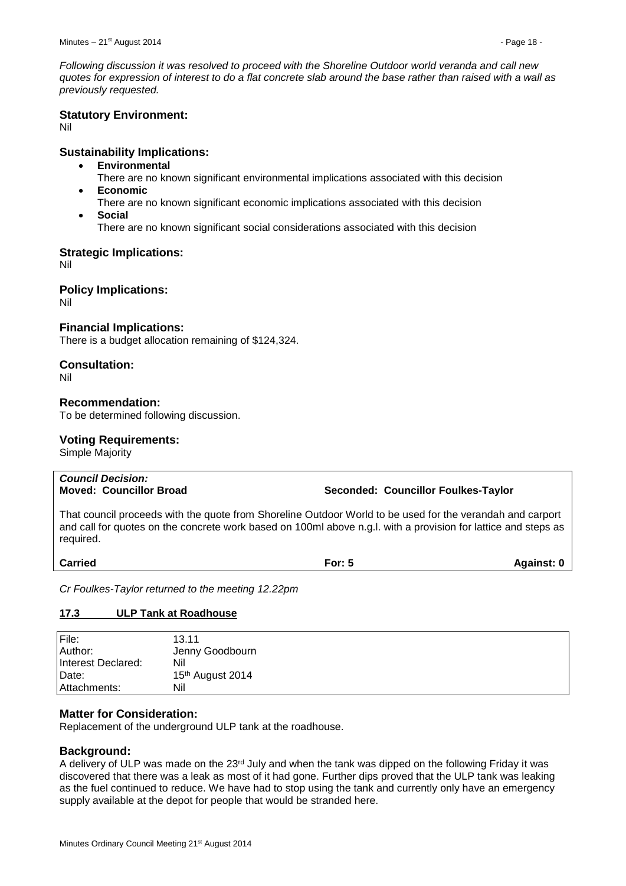*Following discussion it was resolved to proceed with the Shoreline Outdoor world veranda and call new quotes for expression of interest to do a flat concrete slab around the base rather than raised with a wall as previously requested.*

# **Statutory Environment:**

Nil

# **Sustainability Implications:**

- **Environmental**
	- There are no known significant environmental implications associated with this decision
- **Economic**
	- There are no known significant economic implications associated with this decision
- **Social**

There are no known significant social considerations associated with this decision

# **Strategic Implications:**

Nil

# **Policy Implications:**

Nil

# **Financial Implications:**

There is a budget allocation remaining of \$124,324.

# **Consultation:**

Nil

# **Recommendation:**

To be determined following discussion.

# **Voting Requirements:**

Simple Majority

# *Council Decision:*

# **Moved: Councillor Broad Seconded: Councillor Foulkes-Taylor**

That council proceeds with the quote from Shoreline Outdoor World to be used for the verandah and carport and call for quotes on the concrete work based on 100ml above n.g.l. with a provision for lattice and steps as required.

**Carried For: 5 Against: 0**

*Cr Foulkes-Taylor returned to the meeting 12.22pm*

# <span id="page-17-0"></span>**17.3 ULP Tank at Roadhouse**

| File:              | 13.11            |
|--------------------|------------------|
| Author:            | Jenny Goodbourn  |
| Interest Declared: | Nil              |
| Date:              | 15th August 2014 |
| Attachments:       | Nil              |

# **Matter for Consideration:**

Replacement of the underground ULP tank at the roadhouse.

# **Background:**

A delivery of ULP was made on the  $23<sup>rd</sup>$  July and when the tank was dipped on the following Friday it was discovered that there was a leak as most of it had gone. Further dips proved that the ULP tank was leaking as the fuel continued to reduce. We have had to stop using the tank and currently only have an emergency supply available at the depot for people that would be stranded here.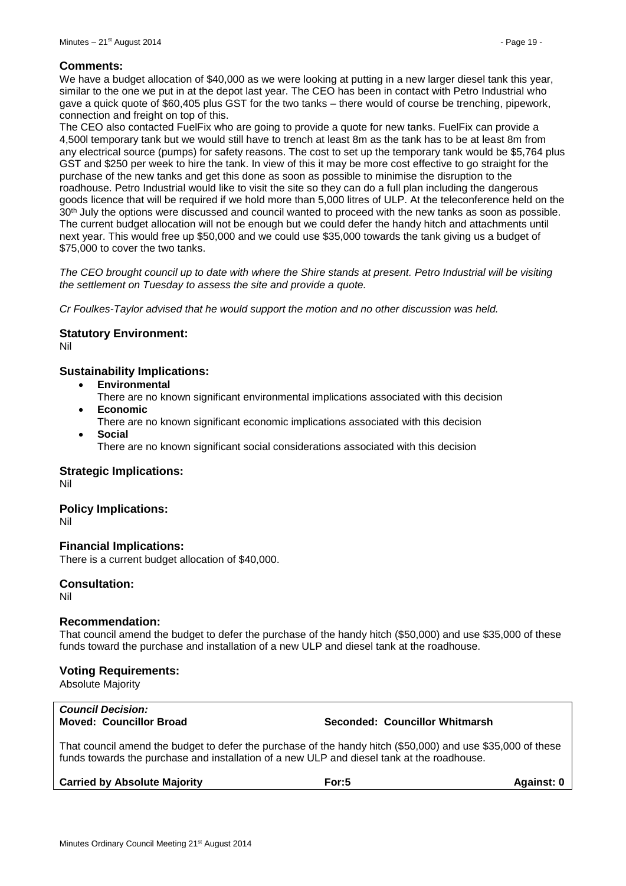#### **Comments:**

We have a budget allocation of \$40,000 as we were looking at putting in a new larger diesel tank this year, similar to the one we put in at the depot last year. The CEO has been in contact with Petro Industrial who gave a quick quote of \$60,405 plus GST for the two tanks – there would of course be trenching, pipework, connection and freight on top of this.

The CEO also contacted FuelFix who are going to provide a quote for new tanks. FuelFix can provide a 4,500l temporary tank but we would still have to trench at least 8m as the tank has to be at least 8m from any electrical source (pumps) for safety reasons. The cost to set up the temporary tank would be \$5,764 plus GST and \$250 per week to hire the tank. In view of this it may be more cost effective to go straight for the purchase of the new tanks and get this done as soon as possible to minimise the disruption to the roadhouse. Petro Industrial would like to visit the site so they can do a full plan including the dangerous goods licence that will be required if we hold more than 5,000 litres of ULP. At the teleconference held on the 30<sup>th</sup> July the options were discussed and council wanted to proceed with the new tanks as soon as possible. The current budget allocation will not be enough but we could defer the handy hitch and attachments until next year. This would free up \$50,000 and we could use \$35,000 towards the tank giving us a budget of \$75,000 to cover the two tanks.

*The CEO brought council up to date with where the Shire stands at present. Petro Industrial will be visiting the settlement on Tuesday to assess the site and provide a quote.*

*Cr Foulkes-Taylor advised that he would support the motion and no other discussion was held.*

#### **Statutory Environment:**

Nil

# **Sustainability Implications:**

- **Environmental**
- There are no known significant environmental implications associated with this decision **Economic**
- There are no known significant economic implications associated with this decision **Social**
	- There are no known significant social considerations associated with this decision

#### **Strategic Implications:**

Nil

#### **Policy Implications:**

Nil

#### **Financial Implications:**

There is a current budget allocation of \$40,000.

# **Consultation:**

Nil

#### **Recommendation:**

That council amend the budget to defer the purchase of the handy hitch (\$50,000) and use \$35,000 of these funds toward the purchase and installation of a new ULP and diesel tank at the roadhouse.

# **Voting Requirements:**

Absolute Majority

# *Council Decision:*

#### **Moved: Councillor Broad Seconded: Councillor Whitmarsh**

That council amend the budget to defer the purchase of the handy hitch (\$50,000) and use \$35,000 of these funds towards the purchase and installation of a new ULP and diesel tank at the roadhouse.

| <b>Carried by Absolute Majority</b> | For: $5$ | <b>Against: 0</b> |
|-------------------------------------|----------|-------------------|
|                                     |          |                   |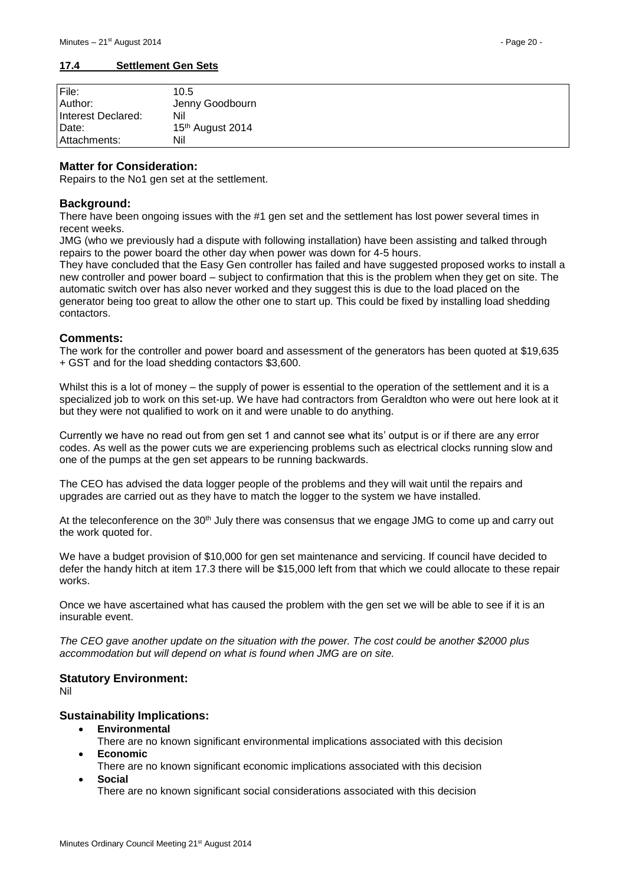<span id="page-19-0"></span>

| File:<br>Author:   | 10.5             |
|--------------------|------------------|
|                    | Jenny Goodbourn  |
| Interest Declared: | Nil              |
| IDate:             | 15th August 2014 |
| Attachments:       | Nil              |

# **Matter for Consideration:**

Repairs to the No1 gen set at the settlement.

# **Background:**

There have been ongoing issues with the #1 gen set and the settlement has lost power several times in recent weeks.

JMG (who we previously had a dispute with following installation) have been assisting and talked through repairs to the power board the other day when power was down for 4-5 hours.

They have concluded that the Easy Gen controller has failed and have suggested proposed works to install a new controller and power board – subject to confirmation that this is the problem when they get on site. The automatic switch over has also never worked and they suggest this is due to the load placed on the generator being too great to allow the other one to start up. This could be fixed by installing load shedding contactors.

#### **Comments:**

The work for the controller and power board and assessment of the generators has been quoted at \$19,635 + GST and for the load shedding contactors \$3,600.

Whilst this is a lot of money – the supply of power is essential to the operation of the settlement and it is a specialized job to work on this set-up. We have had contractors from Geraldton who were out here look at it but they were not qualified to work on it and were unable to do anything.

Currently we have no read out from gen set 1 and cannot see what its' output is or if there are any error codes. As well as the power cuts we are experiencing problems such as electrical clocks running slow and one of the pumps at the gen set appears to be running backwards.

The CEO has advised the data logger people of the problems and they will wait until the repairs and upgrades are carried out as they have to match the logger to the system we have installed.

At the teleconference on the 30<sup>th</sup> July there was consensus that we engage JMG to come up and carry out the work quoted for.

We have a budget provision of \$10,000 for gen set maintenance and servicing. If council have decided to defer the handy hitch at item 17.3 there will be \$15,000 left from that which we could allocate to these repair works.

Once we have ascertained what has caused the problem with the gen set we will be able to see if it is an insurable event.

*The CEO gave another update on the situation with the power. The cost could be another \$2000 plus accommodation but will depend on what is found when JMG are on site.*

# **Statutory Environment:**

Nil

# **Sustainability Implications:**

**Environmental**

There are no known significant environmental implications associated with this decision **Economic**

There are no known significant economic implications associated with this decision **Social**

There are no known significant social considerations associated with this decision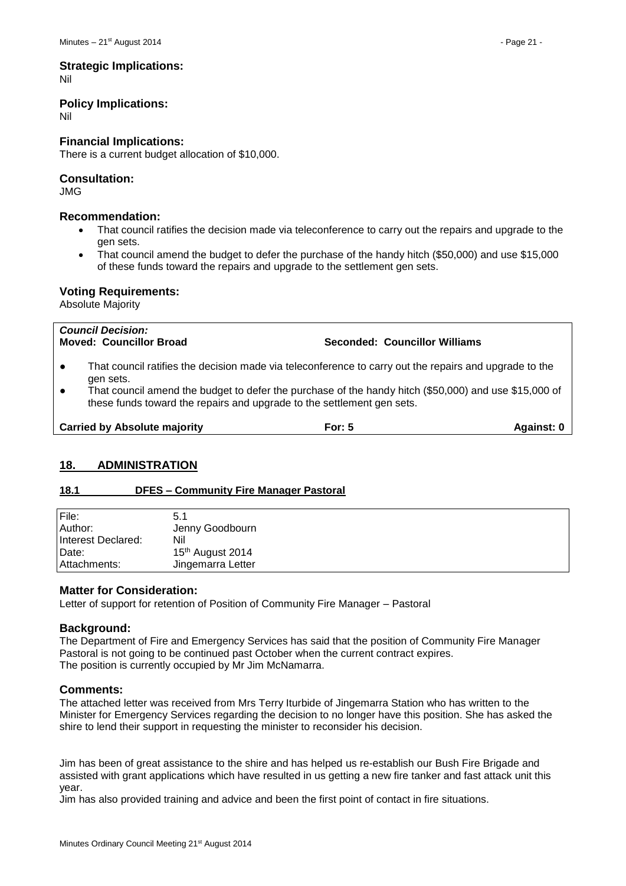# **Strategic Implications:**

Nil

# **Policy Implications:**

Nil

# **Financial Implications:**

There is a current budget allocation of \$10,000.

# **Consultation:**

JMG

# **Recommendation:**

- That council ratifies the decision made via teleconference to carry out the repairs and upgrade to the gen sets.
- That council amend the budget to defer the purchase of the handy hitch (\$50,000) and use \$15,000 of these funds toward the repairs and upgrade to the settlement gen sets.

# **Voting Requirements:**

Absolute Majority

| <b>Council Decision:</b><br><b>Moved: Councillor Broad</b>                                                                                                                                                                                                                                                                       | Seconded: Councillor Williams |  |  |
|----------------------------------------------------------------------------------------------------------------------------------------------------------------------------------------------------------------------------------------------------------------------------------------------------------------------------------|-------------------------------|--|--|
| That council ratifies the decision made via teleconference to carry out the repairs and upgrade to the<br>$\bullet$<br>gen sets.<br>That council amend the budget to defer the purchase of the handy hitch (\$50,000) and use \$15,000 of<br>$\bullet$<br>these funds toward the repairs and upgrade to the settlement gen sets. |                               |  |  |
| <b>Carried by Absolute majority</b><br>For: $5$<br>Against: 0                                                                                                                                                                                                                                                                    |                               |  |  |
|                                                                                                                                                                                                                                                                                                                                  |                               |  |  |

# <span id="page-20-0"></span>**18. ADMINISTRATION**

# <span id="page-20-1"></span>**18.1 DFES – Community Fire Manager Pastoral**

| File:              | 5.1               |
|--------------------|-------------------|
| Author:            | Jenny Goodbourn   |
| Interest Declared: | Nil               |
| Date:              | 15th August 2014  |
| Attachments:       | Jingemarra Letter |

# **Matter for Consideration:**

Letter of support for retention of Position of Community Fire Manager – Pastoral

# **Background:**

The Department of Fire and Emergency Services has said that the position of Community Fire Manager Pastoral is not going to be continued past October when the current contract expires. The position is currently occupied by Mr Jim McNamarra.

# **Comments:**

The attached letter was received from Mrs Terry Iturbide of Jingemarra Station who has written to the Minister for Emergency Services regarding the decision to no longer have this position. She has asked the shire to lend their support in requesting the minister to reconsider his decision.

Jim has been of great assistance to the shire and has helped us re-establish our Bush Fire Brigade and assisted with grant applications which have resulted in us getting a new fire tanker and fast attack unit this year.

Jim has also provided training and advice and been the first point of contact in fire situations.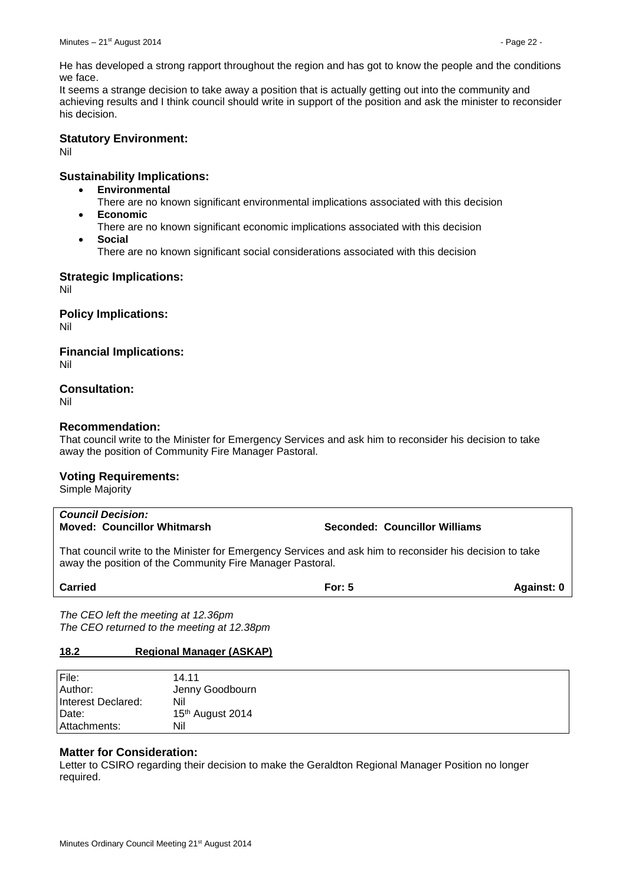He has developed a strong rapport throughout the region and has got to know the people and the conditions we face.

It seems a strange decision to take away a position that is actually getting out into the community and achieving results and I think council should write in support of the position and ask the minister to reconsider his decision.

# **Statutory Environment:**

Nil

# **Sustainability Implications:**

- **Environmental**
	- There are no known significant environmental implications associated with this decision
- **Economic**
- There are no known significant economic implications associated with this decision
- **Social**
	- There are no known significant social considerations associated with this decision

# **Strategic Implications:**

Nil

**Policy Implications:**

Nil

# **Financial Implications:**

Nil

# **Consultation:**

Nil

# **Recommendation:**

That council write to the Minister for Emergency Services and ask him to reconsider his decision to take away the position of Community Fire Manager Pastoral.

# **Voting Requirements:**

Simple Majority

# *Council Decision:* **Moved: Councillor Whitmarsh Seconded: Councillor Williams**

That council write to the Minister for Emergency Services and ask him to reconsider his decision to take away the position of the Community Fire Manager Pastoral.

# **Carried For: 5 Against: 0**

*The CEO left the meeting at 12.36pm The CEO returned to the meeting at 12.38pm*

# <span id="page-21-0"></span>**18.2 Regional Manager (ASKAP)**

| File:              | 14.11                        |
|--------------------|------------------------------|
| Author:            | Jenny Goodbourn              |
| Interest Declared: | Nil                          |
| Date:              | 15 <sup>th</sup> August 2014 |
| Attachments:       | Nil                          |

# **Matter for Consideration:**

Letter to CSIRO regarding their decision to make the Geraldton Regional Manager Position no longer required.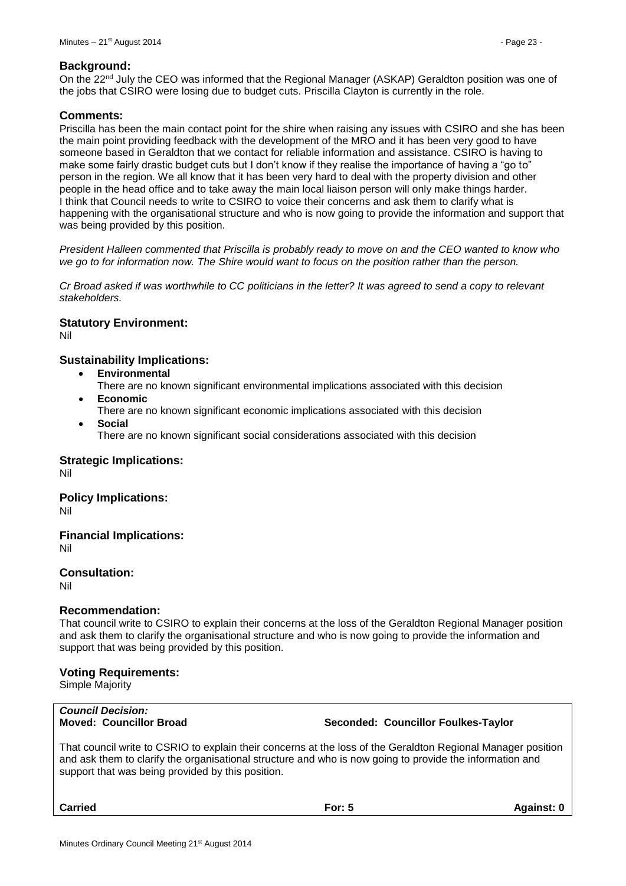#### **Background:**

On the 22<sup>nd</sup> July the CEO was informed that the Regional Manager (ASKAP) Geraldton position was one of the jobs that CSIRO were losing due to budget cuts. Priscilla Clayton is currently in the role.

#### **Comments:**

Priscilla has been the main contact point for the shire when raising any issues with CSIRO and she has been the main point providing feedback with the development of the MRO and it has been very good to have someone based in Geraldton that we contact for reliable information and assistance. CSIRO is having to make some fairly drastic budget cuts but I don't know if they realise the importance of having a "go to" person in the region. We all know that it has been very hard to deal with the property division and other people in the head office and to take away the main local liaison person will only make things harder. I think that Council needs to write to CSIRO to voice their concerns and ask them to clarify what is happening with the organisational structure and who is now going to provide the information and support that was being provided by this position.

*President Halleen commented that Priscilla is probably ready to move on and the CEO wanted to know who*  we go to for information now. The Shire would want to focus on the position rather than the person.

*Cr Broad asked if was worthwhile to CC politicians in the letter? It was agreed to send a copy to relevant stakeholders.*

# **Statutory Environment:**

Nil

# **Sustainability Implications:**

- **Environmental**
- There are no known significant environmental implications associated with this decision **Economic**
- There are no known significant economic implications associated with this decision
- **Social** There are no known significant social considerations associated with this decision

**Strategic Implications:** Nil

# **Policy Implications:**

Nil

**Financial Implications:**

Nil

**Consultation:**

Nil

# **Recommendation:**

That council write to CSIRO to explain their concerns at the loss of the Geraldton Regional Manager position and ask them to clarify the organisational structure and who is now going to provide the information and support that was being provided by this position.

# **Voting Requirements:**

Simple Majority

# *Council Decision:*

#### **Moved: Councillor Broad Seconded: Councillor Foulkes-Taylor**

That council write to CSRIO to explain their concerns at the loss of the Geraldton Regional Manager position and ask them to clarify the organisational structure and who is now going to provide the information and support that was being provided by this position.

**Carried For: 5 Against: 0**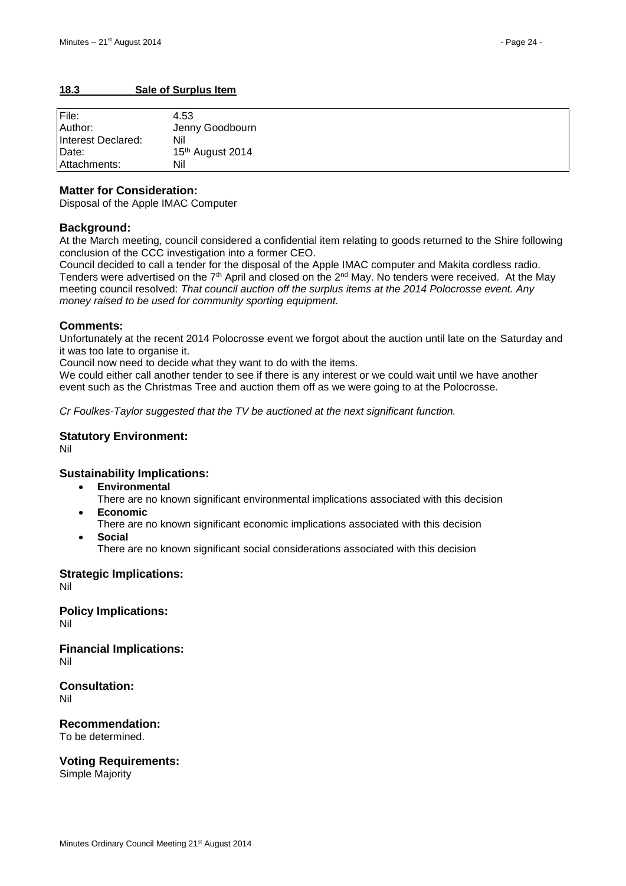# <span id="page-23-0"></span>**18.3 Sale of Surplus Item**

| File:              | 4.53             |
|--------------------|------------------|
| Author:            | Jenny Goodbourn  |
| Interest Declared: | Nil              |
| Date:              | 15th August 2014 |
| l Attachments:     | Nil              |

### **Matter for Consideration:**

Disposal of the Apple IMAC Computer

# **Background:**

At the March meeting, council considered a confidential item relating to goods returned to the Shire following conclusion of the CCC investigation into a former CEO.

Council decided to call a tender for the disposal of the Apple IMAC computer and Makita cordless radio. Tenders were advertised on the  $7<sup>th</sup>$  April and closed on the  $2<sup>nd</sup>$  May. No tenders were received. At the May meeting council resolved: *That council auction off the surplus items at the 2014 Polocrosse event. Any money raised to be used for community sporting equipment.*

#### **Comments:**

Unfortunately at the recent 2014 Polocrosse event we forgot about the auction until late on the Saturday and it was too late to organise it.

Council now need to decide what they want to do with the items.

We could either call another tender to see if there is any interest or we could wait until we have another event such as the Christmas Tree and auction them off as we were going to at the Polocrosse.

*Cr Foulkes-Taylor suggested that the TV be auctioned at the next significant function.*

#### **Statutory Environment:**

Nil

# **Sustainability Implications:**

- **Environmental**
	- There are no known significant environmental implications associated with this decision
- **Economic** There are no known significant economic implications associated with this decision
- **Social**
	- There are no known significant social considerations associated with this decision

**Strategic Implications:** Nil

**Policy Implications:** Nil

**Financial Implications:** Nil

**Consultation:** Nil

**Recommendation:** To be determined.

**Voting Requirements:**

Simple Majority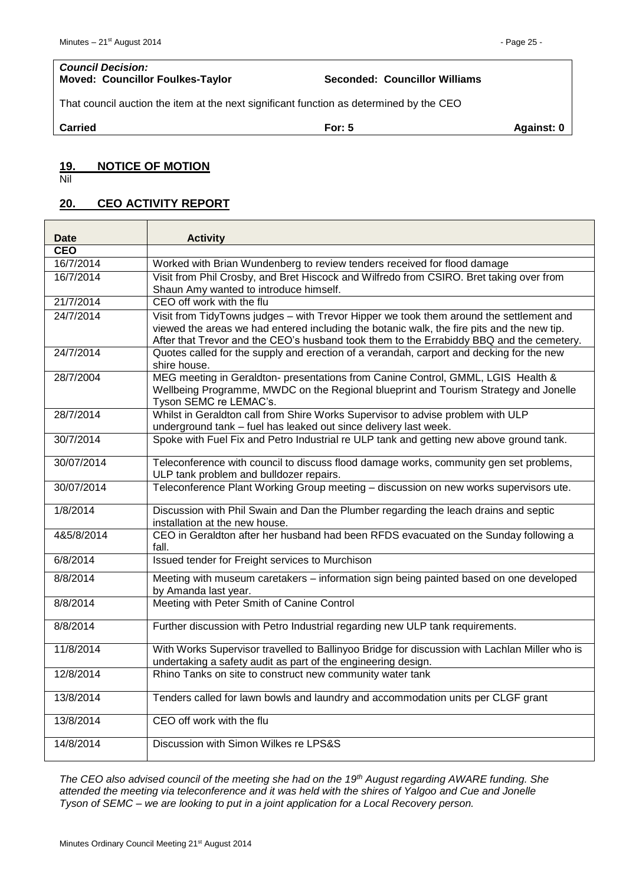# *Council Decision:*

**Moved: Councillor Foulkes-Taylor Seconded: Councillor Williams**

That council auction the item at the next significant function as determined by the CEO

**Carried For: 5 Against: 0**

# <span id="page-24-0"></span>**19. NOTICE OF MOTION**

Nil

# <span id="page-24-1"></span>**20. CEO ACTIVITY REPORT**

| <b>Date</b> | <b>Activity</b>                                                                                                                                                                                                                                                                   |
|-------------|-----------------------------------------------------------------------------------------------------------------------------------------------------------------------------------------------------------------------------------------------------------------------------------|
| <b>CEO</b>  |                                                                                                                                                                                                                                                                                   |
| 16/7/2014   | Worked with Brian Wundenberg to review tenders received for flood damage                                                                                                                                                                                                          |
| 16/7/2014   | Visit from Phil Crosby, and Bret Hiscock and Wilfredo from CSIRO. Bret taking over from<br>Shaun Amy wanted to introduce himself.                                                                                                                                                 |
| 21/7/2014   | CEO off work with the flu                                                                                                                                                                                                                                                         |
| 24/7/2014   | Visit from TidyTowns judges - with Trevor Hipper we took them around the settlement and<br>viewed the areas we had entered including the botanic walk, the fire pits and the new tip.<br>After that Trevor and the CEO's husband took them to the Errabiddy BBQ and the cemetery. |
| 24/7/2014   | Quotes called for the supply and erection of a verandah, carport and decking for the new<br>shire house.                                                                                                                                                                          |
| 28/7/2004   | MEG meeting in Geraldton- presentations from Canine Control, GMML, LGIS Health &<br>Wellbeing Programme, MWDC on the Regional blueprint and Tourism Strategy and Jonelle<br>Tyson SEMC re LEMAC's.                                                                                |
| 28/7/2014   | Whilst in Geraldton call from Shire Works Supervisor to advise problem with ULP<br>underground tank – fuel has leaked out since delivery last week.                                                                                                                               |
| 30/7/2014   | Spoke with Fuel Fix and Petro Industrial re ULP tank and getting new above ground tank.                                                                                                                                                                                           |
| 30/07/2014  | Teleconference with council to discuss flood damage works, community gen set problems,<br>ULP tank problem and bulldozer repairs.                                                                                                                                                 |
| 30/07/2014  | Teleconference Plant Working Group meeting - discussion on new works supervisors ute.                                                                                                                                                                                             |
| 1/8/2014    | Discussion with Phil Swain and Dan the Plumber regarding the leach drains and septic<br>installation at the new house.                                                                                                                                                            |
| 4&5/8/2014  | CEO in Geraldton after her husband had been RFDS evacuated on the Sunday following a<br>fall.                                                                                                                                                                                     |
| 6/8/2014    | Issued tender for Freight services to Murchison                                                                                                                                                                                                                                   |
| 8/8/2014    | Meeting with museum caretakers - information sign being painted based on one developed<br>by Amanda last year.                                                                                                                                                                    |
| 8/8/2014    | Meeting with Peter Smith of Canine Control                                                                                                                                                                                                                                        |
| 8/8/2014    | Further discussion with Petro Industrial regarding new ULP tank requirements.                                                                                                                                                                                                     |
| 11/8/2014   | With Works Supervisor travelled to Ballinyoo Bridge for discussion with Lachlan Miller who is<br>undertaking a safety audit as part of the engineering design.                                                                                                                    |
| 12/8/2014   | Rhino Tanks on site to construct new community water tank                                                                                                                                                                                                                         |
| 13/8/2014   | Tenders called for lawn bowls and laundry and accommodation units per CLGF grant                                                                                                                                                                                                  |
| 13/8/2014   | CEO off work with the flu                                                                                                                                                                                                                                                         |
| 14/8/2014   | Discussion with Simon Wilkes re LPS&S                                                                                                                                                                                                                                             |

*The CEO also advised council of the meeting she had on the 19th August regarding AWARE funding. She attended the meeting via teleconference and it was held with the shires of Yalgoo and Cue and Jonelle Tyson of SEMC – we are looking to put in a joint application for a Local Recovery person.*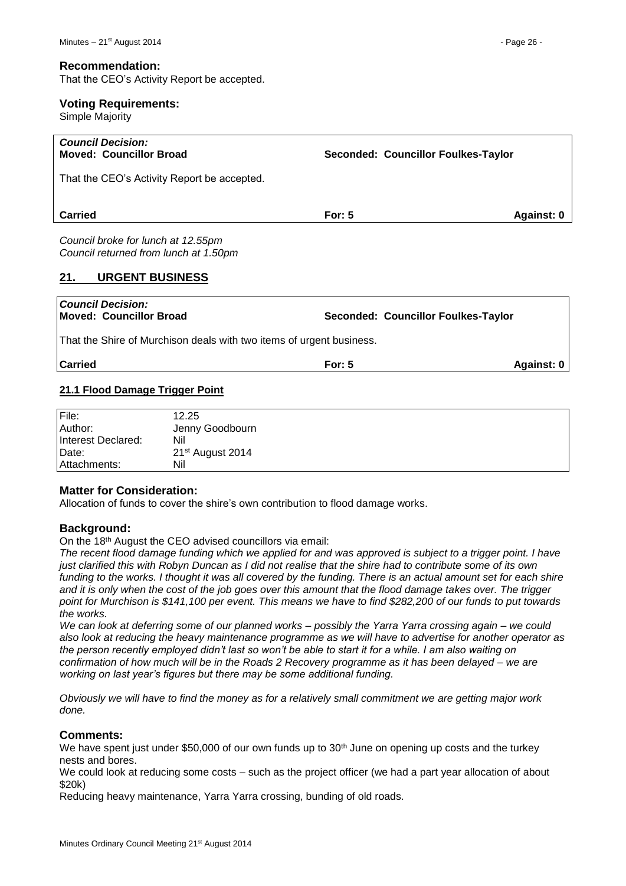#### **Recommendation:**

That the CEO's Activity Report be accepted.

#### **Voting Requirements:**

Simple Majority

| <b>Council Decision:</b><br><b>Moved: Councillor Broad</b> | Seconded: Councillor Foulkes-Taylor |            |
|------------------------------------------------------------|-------------------------------------|------------|
| That the CEO's Activity Report be accepted.                |                                     |            |
| <b>Carried</b>                                             | For: $5$                            | Against: 0 |
| $\sim$                                                     |                                     |            |

*Council broke for lunch at 12.55pm Council returned from lunch at 1.50pm*

#### <span id="page-25-0"></span>**21. URGENT BUSINESS**

| Council Decision:<br>Moved: Councillor Broad                         | Seconded: Councillor Foulkes-Taylor |            |
|----------------------------------------------------------------------|-------------------------------------|------------|
| That the Shire of Murchison deals with two items of urgent business. |                                     |            |
| <b>Carried</b>                                                       | For: $5$                            | Against: 0 |
| 21.1 Flood Damage Trigger Point                                      |                                     |            |

<span id="page-25-1"></span>

| File:              | 12.25                        |
|--------------------|------------------------------|
| Author:            | Jenny Goodbourn              |
| Interest Declared: | Nil                          |
| Date:              | 21 <sup>st</sup> August 2014 |
| Attachments:       | Nil                          |

# **Matter for Consideration:**

Allocation of funds to cover the shire's own contribution to flood damage works.

# **Background:**

On the 18th August the CEO advised councillors via email:

*The recent flood damage funding which we applied for and was approved is subject to a trigger point. I have just clarified this with Robyn Duncan as I did not realise that the shire had to contribute some of its own*  funding to the works. I thought it was all covered by the funding. There is an actual amount set for each shire *and it is only when the cost of the job goes over this amount that the flood damage takes over. The trigger point for Murchison is \$141,100 per event. This means we have to find \$282,200 of our funds to put towards the works.* 

*We can look at deferring some of our planned works – possibly the Yarra Yarra crossing again – we could also look at reducing the heavy maintenance programme as we will have to advertise for another operator as the person recently employed didn't last so won't be able to start it for a while. I am also waiting on confirmation of how much will be in the Roads 2 Recovery programme as it has been delayed – we are working on last year's figures but there may be some additional funding.*

*Obviously we will have to find the money as for a relatively small commitment we are getting major work done.* 

#### **Comments:**

We have spent just under \$50,000 of our own funds up to  $30<sup>th</sup>$  June on opening up costs and the turkey nests and bores.

We could look at reducing some costs – such as the project officer (we had a part year allocation of about \$20k)

Reducing heavy maintenance, Yarra Yarra crossing, bunding of old roads.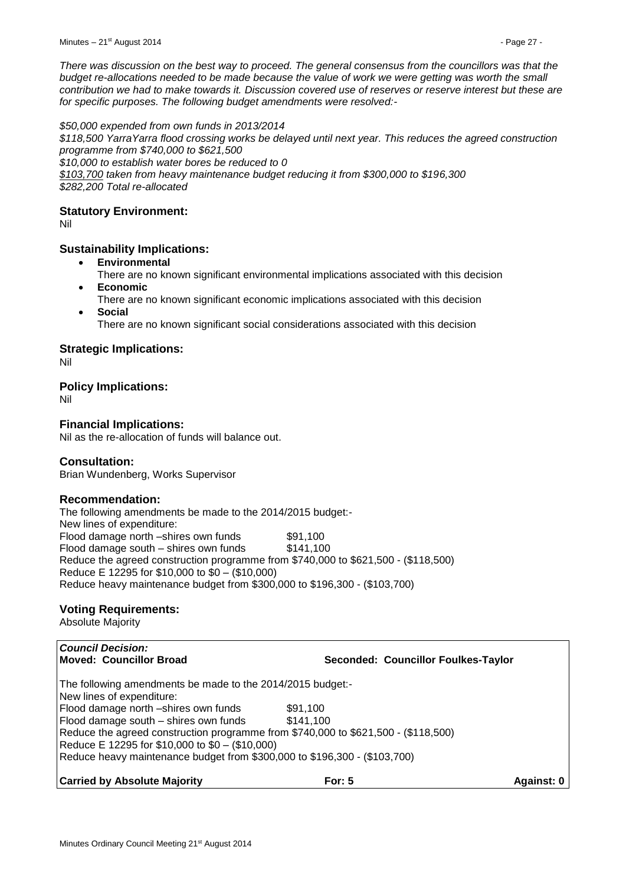*\$50,000 expended from own funds in 2013/2014 \$118,500 YarraYarra flood crossing works be delayed until next year. This reduces the agreed construction programme from \$740,000 to \$621,500 \$10,000 to establish water bores be reduced to 0 \$103,700 taken from heavy maintenance budget reducing it from \$300,000 to \$196,300 \$282,200 Total re-allocated*

# **Statutory Environment:**

Nil

# **Sustainability Implications:**

- **Environmental**
- There are no known significant environmental implications associated with this decision **Economic**
- There are no known significant economic implications associated with this decision **Social**
	- There are no known significant social considerations associated with this decision

# **Strategic Implications:**

Nil

# **Policy Implications:**

Nil

# **Financial Implications:**

Nil as the re-allocation of funds will balance out.

# **Consultation:**

Brian Wundenberg, Works Supervisor

# **Recommendation:**

The following amendments be made to the 2014/2015 budget:- New lines of expenditure: Flood damage north –shires own funds \$91,100 Flood damage south – shires own funds  $$141,100$ Reduce the agreed construction programme from \$740,000 to \$621,500 - (\$118,500) Reduce E 12295 for \$10,000 to \$0 – (\$10,000) Reduce heavy maintenance budget from \$300,000 to \$196,300 - (\$103,700)

# **Voting Requirements:**

Absolute Majority

| <b>Council Decision:</b><br>Moved: Councillor Broad                                                                                   | Seconded: Councillor Foulkes-Taylor |            |
|---------------------------------------------------------------------------------------------------------------------------------------|-------------------------------------|------------|
| The following amendments be made to the 2014/2015 budget:-<br>New lines of expenditure:                                               |                                     |            |
| Flood damage north -shires own funds<br>Flood damage south - shires own funds                                                         | \$91.100<br>\$141,100               |            |
| Reduce the agreed construction programme from \$740,000 to \$621,500 - (\$118,500)<br>Reduce E 12295 for \$10,000 to \$0 - (\$10,000) |                                     |            |
| Reduce heavy maintenance budget from \$300,000 to \$196,300 - (\$103,700)                                                             |                                     |            |
| <b>Carried by Absolute Majority</b>                                                                                                   | <b>For: 5</b>                       | Against: 0 |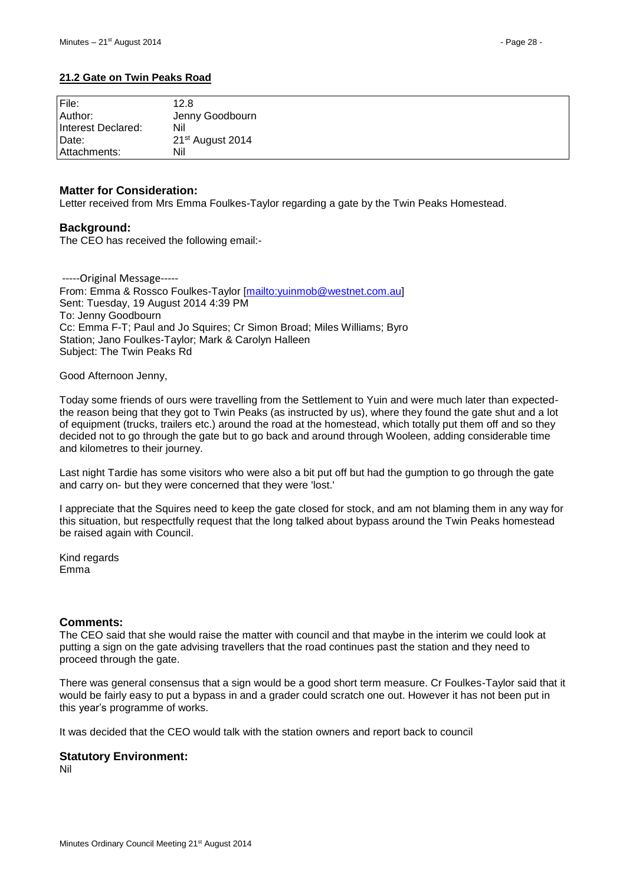# <span id="page-27-0"></span>**21.2 Gate on Twin Peaks Road**

| File:              | 12.8                         |
|--------------------|------------------------------|
| Author:            | Jenny Goodbourn              |
| Interest Declared: | Nil                          |
| Date:              | 21 <sup>st</sup> August 2014 |
| Attachments:       | Nil                          |

### **Matter for Consideration:**

Letter received from Mrs Emma Foulkes-Taylor regarding a gate by the Twin Peaks Homestead.

# **Background:**

The CEO has received the following email:-

-----Original Message----- From: Emma & Rossco Foulkes-Taylor [\[mailto:yuinmob@westnet.com.au\]](mailto:yuinmob@westnet.com.au) Sent: Tuesday, 19 August 2014 4:39 PM To: Jenny Goodbourn Cc: Emma F-T; Paul and Jo Squires; Cr Simon Broad; Miles Williams; Byro Station; Jano Foulkes-Taylor; Mark & Carolyn Halleen Subject: The Twin Peaks Rd

Good Afternoon Jenny,

Today some friends of ours were travelling from the Settlement to Yuin and were much later than expectedthe reason being that they got to Twin Peaks (as instructed by us), where they found the gate shut and a lot of equipment (trucks, trailers etc.) around the road at the homestead, which totally put them off and so they decided not to go through the gate but to go back and around through Wooleen, adding considerable time and kilometres to their journey.

Last night Tardie has some visitors who were also a bit put off but had the gumption to go through the gate and carry on- but they were concerned that they were 'lost.'

I appreciate that the Squires need to keep the gate closed for stock, and am not blaming them in any way for this situation, but respectfully request that the long talked about bypass around the Twin Peaks homestead be raised again with Council.

Kind regards Emma

# **Comments:**

The CEO said that she would raise the matter with council and that maybe in the interim we could look at putting a sign on the gate advising travellers that the road continues past the station and they need to proceed through the gate.

There was general consensus that a sign would be a good short term measure. Cr Foulkes-Taylor said that it would be fairly easy to put a bypass in and a grader could scratch one out. However it has not been put in this year's programme of works.

It was decided that the CEO would talk with the station owners and report back to council

#### **Statutory Environment:**

Nil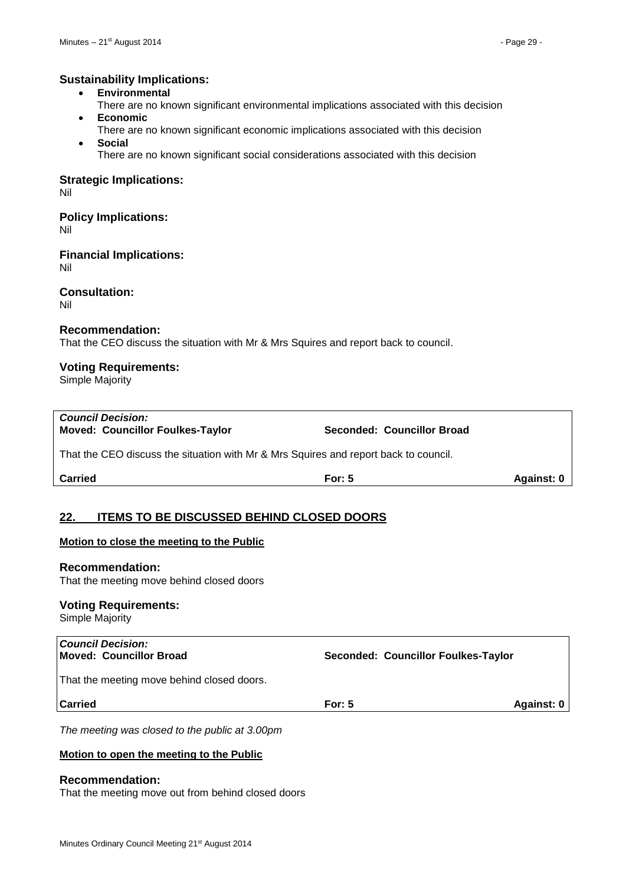# **Sustainability Implications:**

- **Environmental**
- There are no known significant environmental implications associated with this decision
- **Economic**
- There are no known significant economic implications associated with this decision **Social**
	- There are no known significant social considerations associated with this decision

### **Strategic Implications:**

Nil

#### **Policy Implications:** Nil

**Financial Implications:** Nil

**Consultation:** Nil

# **Recommendation:**

That the CEO discuss the situation with Mr & Mrs Squires and report back to council.

# **Voting Requirements:**

Simple Majority

| <b>Carried</b>                                                                       | For: $5$                   | Against: 0 |
|--------------------------------------------------------------------------------------|----------------------------|------------|
| That the CEO discuss the situation with Mr & Mrs Squires and report back to council. |                            |            |
| <b>Council Decision:</b><br><b>Moved: Councillor Foulkes-Taylor</b>                  | Seconded: Councillor Broad |            |

# <span id="page-28-0"></span>**22. ITEMS TO BE DISCUSSED BEHIND CLOSED DOORS**

#### **Motion to close the meeting to the Public**

# **Recommendation:**

That the meeting move behind closed doors

#### **Voting Requirements:**

Simple Majority

| <b>Council Decision:</b><br>Moved: Councillor Broad | Seconded: Councillor Foulkes-Taylor |            |
|-----------------------------------------------------|-------------------------------------|------------|
| That the meeting move behind closed doors.          |                                     |            |
| <b>Carried</b>                                      | For: $5$                            | Against: 0 |
|                                                     |                                     |            |

*The meeting was closed to the public at 3.00pm*

#### **Motion to open the meeting to the Public**

#### **Recommendation:**

That the meeting move out from behind closed doors